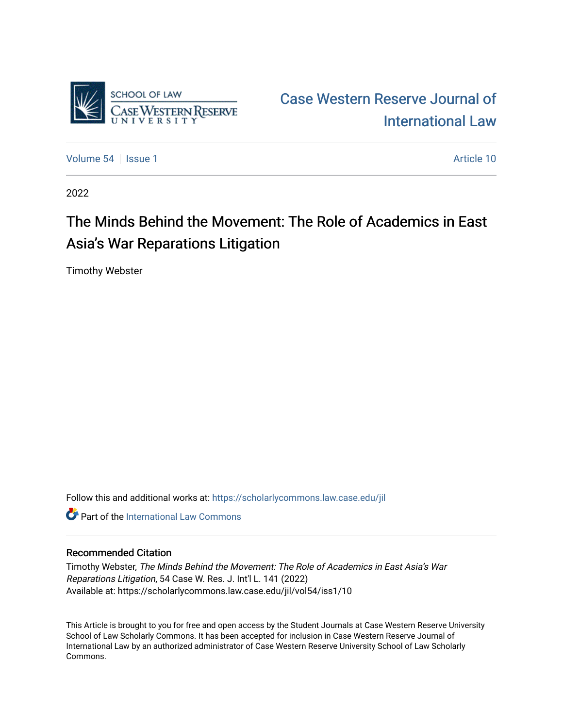

[Case Western Reserve Journal of](https://scholarlycommons.law.case.edu/jil)  [International Law](https://scholarlycommons.law.case.edu/jil) 

[Volume 54](https://scholarlycommons.law.case.edu/jil/vol54) | [Issue 1](https://scholarlycommons.law.case.edu/jil/vol54/iss1) Article 10

2022

# The Minds Behind the Movement: The Role of Academics in East Asia's War Reparations Litigation

Timothy Webster

Follow this and additional works at: [https://scholarlycommons.law.case.edu/jil](https://scholarlycommons.law.case.edu/jil?utm_source=scholarlycommons.law.case.edu%2Fjil%2Fvol54%2Fiss1%2F10&utm_medium=PDF&utm_campaign=PDFCoverPages) 

**C** Part of the International Law Commons

# Recommended Citation

Timothy Webster, The Minds Behind the Movement: The Role of Academics in East Asia's War Reparations Litigation, 54 Case W. Res. J. Int'l L. 141 (2022) Available at: https://scholarlycommons.law.case.edu/jil/vol54/iss1/10

This Article is brought to you for free and open access by the Student Journals at Case Western Reserve University School of Law Scholarly Commons. It has been accepted for inclusion in Case Western Reserve Journal of International Law by an authorized administrator of Case Western Reserve University School of Law Scholarly Commons.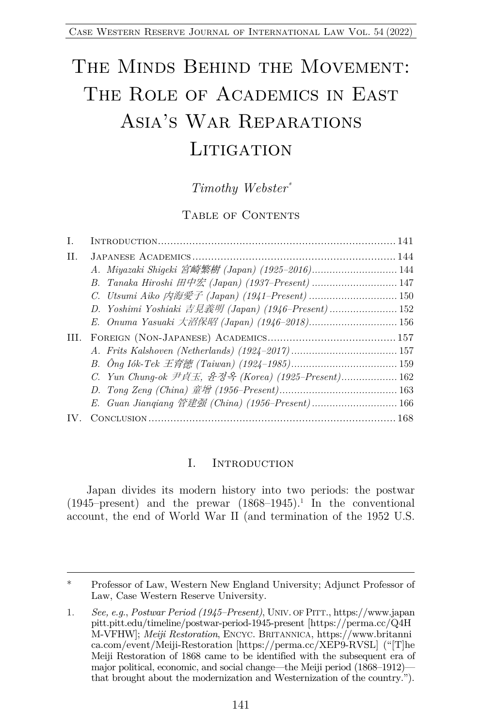# THE MINDS BEHIND THE MOVEMENT: THE ROLE OF ACADEMICS IN EAST Asia's War Reparations **LITIGATION**

# *Timothy Webster\**

#### TABLE OF CONTENTS

| T.   |                                                     |  |
|------|-----------------------------------------------------|--|
| II.  |                                                     |  |
|      |                                                     |  |
|      | B. Tanaka Hiroshi 田中宏 (Japan) (1937-Present)  147   |  |
|      | C. Utsumi Aiko 内海愛子 (Japan) (1941-Present)  150     |  |
|      | D. Yoshimi Yoshiaki 吉見義明 (Japan) (1946-Present) 152 |  |
|      | E. Onuma Yasuaki 大沼保昭 (Japan) (1946-2018) 156       |  |
| III. |                                                     |  |
|      |                                                     |  |
|      |                                                     |  |
|      | C. Yun Chung-ok 尹貞玉, 윤정옥 (Korea) (1925-Present) 162 |  |
|      |                                                     |  |
|      |                                                     |  |
|      |                                                     |  |
|      |                                                     |  |

#### I. INTRODUCTION

Japan divides its modern history into two periods: the postwar (1945–present) and the prewar  $(1868-1945).$ <sup>1</sup> In the conventional account, the end of World War II (and termination of the 1952 U.S.

<sup>\*</sup> Professor of Law, Western New England University; Adjunct Professor of Law, Case Western Reserve University.

<sup>1.</sup> *See, e.g.*, *Postwar Period (1945–Present)*, UNIV. OF PITT., https://www.japan pitt.pitt.edu/timeline/postwar-period-1945-present [https://perma.cc/Q4H M-VFHW]; *Meiji Restoration*, ENCYC. BRITANNICA, https://www.britanni ca.com/event/Meiji-Restoration [https://perma.cc/XEP9-RVSL] ("[T]he Meiji Restoration of 1868 came to be identified with the subsequent era of major political, economic, and social change—the Meiji period (1868–1912) that brought about the modernization and Westernization of the country.").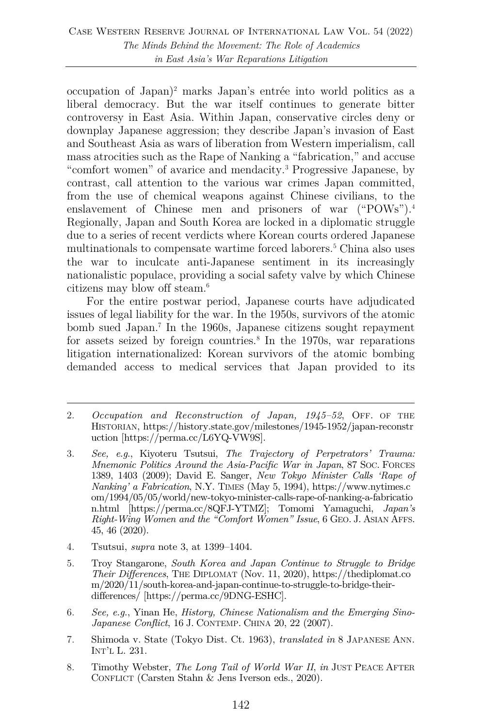occupation of Japan)2 marks Japan's entrée into world politics as a liberal democracy. But the war itself continues to generate bitter controversy in East Asia. Within Japan, conservative circles deny or downplay Japanese aggression; they describe Japan's invasion of East and Southeast Asia as wars of liberation from Western imperialism, call mass atrocities such as the Rape of Nanking a "fabrication," and accuse "comfort women" of avarice and mendacity.3 Progressive Japanese, by contrast, call attention to the various war crimes Japan committed, from the use of chemical weapons against Chinese civilians, to the enslavement of Chinese men and prisoners of war ("POWs"). 4 Regionally, Japan and South Korea are locked in a diplomatic struggle due to a series of recent verdicts where Korean courts ordered Japanese multinationals to compensate wartime forced laborers.<sup>5</sup> China also uses the war to inculcate anti-Japanese sentiment in its increasingly nationalistic populace, providing a social safety valve by which Chinese citizens may blow off steam.6

For the entire postwar period, Japanese courts have adjudicated issues of legal liability for the war. In the 1950s, survivors of the atomic bomb sued Japan.7 In the 1960s, Japanese citizens sought repayment for assets seized by foreign countries.<sup>8</sup> In the  $1970s$ , war reparations litigation internationalized: Korean survivors of the atomic bombing demanded access to medical services that Japan provided to its

- 4. Tsutsui, *supra* note 3, at 1399–1404.
- 5. Troy Stangarone, *South Korea and Japan Continue to Struggle to Bridge Their Differences*, THE DIPLOMAT (Nov. 11, 2020), https://thediplomat.co m/2020/11/south-korea-and-japan-continue-to-struggle-to-bridge-theirdifferences/ [https://perma.cc/9DNG-ESHC].
- 6. *See, e.g.*, Yinan He, *History, Chinese Nationalism and the Emerging Sino-Japanese Conflict*, 16 J. CONTEMP. CHINA 20, 22 (2007).
- 7. Shimoda v. State (Tokyo Dist. Ct. 1963), *translated in* 8 JAPANESE ANN. INT'L L. 231.
- 8. Timothy Webster, *The Long Tail of World War II*, *in* JUST PEACE AFTER CONFLICT (Carsten Stahn & Jens Iverson eds., 2020).

<sup>2.</sup> *Occupation and Reconstruction of Japan, 1945–52*, OFF. OF THE HISTORIAN, https://history.state.gov/milestones/1945-1952/japan-reconstr uction [https://perma.cc/L6YQ-VW9S].

<sup>3.</sup> *See, e.g.*, Kiyoteru Tsutsui, *The Trajectory of Perpetrators' Trauma: Mnemonic Politics Around the Asia-Pacific War in Japan*, 87 SOC. FORCES 1389, 1403 (2009); David E. Sanger, *New Tokyo Minister Calls 'Rape of Nanking' a Fabrication*, N.Y. TIMES (May 5, 1994), https://www.nytimes.c om/1994/05/05/world/new-tokyo-minister-calls-rape-of-nanking-a-fabricatio n.html [https://perma.cc/8QFJ-YTMZ]; Tomomi Yamaguchi, *Japan's Right-Wing Women and the "Comfort Women" Issue*, 6 GEO. J. ASIAN AFFS. 45, 46 (2020).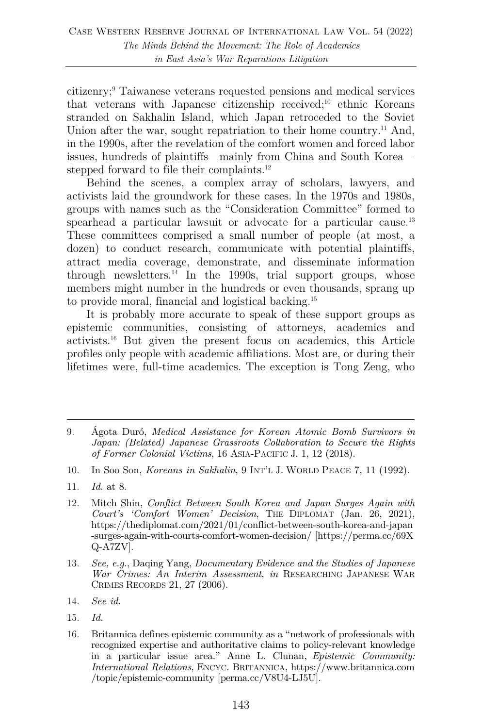citizenry;9 Taiwanese veterans requested pensions and medical services that veterans with Japanese citizenship received;<sup>10</sup> ethnic Koreans stranded on Sakhalin Island, which Japan retroceded to the Soviet Union after the war, sought repatriation to their home country.<sup>11</sup> And, in the 1990s, after the revelation of the comfort women and forced labor issues, hundreds of plaintiffs—mainly from China and South Korea stepped forward to file their complaints.<sup>12</sup>

Behind the scenes, a complex array of scholars, lawyers, and activists laid the groundwork for these cases. In the 1970s and 1980s, groups with names such as the "Consideration Committee" formed to spearhead a particular lawsuit or advocate for a particular cause.<sup>13</sup> These committees comprised a small number of people (at most, a dozen) to conduct research, communicate with potential plaintiffs, attract media coverage, demonstrate, and disseminate information through newsletters. $^{14}$  In the 1990s, trial support groups, whose members might number in the hundreds or even thousands, sprang up to provide moral, financial and logistical backing.15

It is probably more accurate to speak of these support groups as epistemic communities, consisting of attorneys, academics and activists.16 But given the present focus on academics, this Article profiles only people with academic affiliations. Most are, or during their lifetimes were, full-time academics. The exception is Tong Zeng, who

- 10. In Soo Son, *Koreans in Sakhalin*, 9 INT'L J. WORLD PEACE 7, 11 (1992).
- 11. *Id.* at 8.
- 12. Mitch Shin, *Conflict Between South Korea and Japan Surges Again with Court's 'Comfort Women' Decision*, THE DIPLOMAT (Jan. 26, 2021), https://thediplomat.com/2021/01/conflict-between-south-korea-and-japan -surges-again-with-courts-comfort-women-decision/ [https://perma.cc/69X Q-A7ZV].
- 13. *See, e.g.*, Daqing Yang, *Documentary Evidence and the Studies of Japanese War Crimes: An Interim Assessment*, *in* RESEARCHING JAPANESE WAR CRIMES RECORDS 21, 27 (2006).
- 14. *See id.*
- 15. *Id.*
- 16. Britannica defines epistemic community as a "network of professionals with recognized expertise and authoritative claims to policy-relevant knowledge in a particular issue area." Anne L. Clunan, *Epistemic Community: International Relations*, ENCYC. BRITANNICA, https://www.britannica.com /topic/epistemic-community [perma.cc/V8U4-LJ5U].

<sup>9.</sup> Ágota Duró, *Medical Assistance for Korean Atomic Bomb Survivors in Japan: (Belated) Japanese Grassroots Collaboration to Secure the Rights of Former Colonial Victims*, 16 ASIA-PACIFIC J. 1, 12 (2018).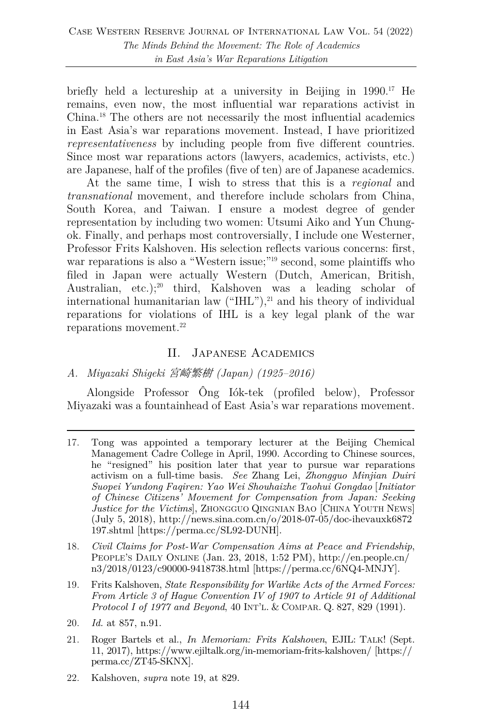briefly held a lectureship at a university in Beijing in 1990.<sup>17</sup> He remains, even now, the most influential war reparations activist in China.18 The others are not necessarily the most influential academics in East Asia's war reparations movement. Instead, I have prioritized *representativeness* by including people from five different countries. Since most war reparations actors (lawyers, academics, activists, etc.) are Japanese, half of the profiles (five of ten) are of Japanese academics.

At the same time, I wish to stress that this is a *regional* and *transnational* movement, and therefore include scholars from China, South Korea, and Taiwan. I ensure a modest degree of gender representation by including two women: Utsumi Aiko and Yun Chungok. Finally, and perhaps most controversially, I include one Westerner, Professor Frits Kalshoven. His selection reflects various concerns: first, war reparations is also a "Western issue;"<sup>19</sup> second, some plaintiffs who filed in Japan were actually Western (Dutch, American, British, Australian, etc.);<sup>20</sup> third, Kalshoven was a leading scholar of international humanitarian law  $("HIL")$ , $^{21}$  and his theory of individual reparations for violations of IHL is a key legal plank of the war reparations movement.<sup>22</sup>

# II. Japanese Academics

# *A. Miyazaki Shigeki* 宮崎繁樹 *(Japan) (1925–2016)*

Alongside Professor Ông Iók-tek (profiled below), Professor Miyazaki was a fountainhead of East Asia's war reparations movement.

- 18. *Civil Claims for Post-War Compensation Aims at Peace and Friendship*, PEOPLE'S DAILY ONLINE (Jan. 23, 2018, 1:52 PM), http://en.people.cn/ n3/2018/0123/c90000-9418738.html [https://perma.cc/6NQ4-MNJY].
- 19. Frits Kalshoven, *State Responsibility for Warlike Acts of the Armed Forces: From Article 3 of Hague Convention IV of 1907 to Article 91 of Additional Protocol I of 1977 and Beyond*, 40 INT'L. & COMPAR. Q. 827, 829 (1991).
- 20. *Id.* at 857, n.91.
- 21. Roger Bartels et al., *In Memoriam: Frits Kalshoven*, EJIL: TALK! (Sept. 11, 2017), https://www.ejiltalk.org/in-memoriam-frits-kalshoven/ [https:// perma.cc/ZT45-SKNX].
- 22. Kalshoven, *supra* note 19, at 829.

<sup>17.</sup> Tong was appointed a temporary lecturer at the Beijing Chemical Management Cadre College in April, 1990. According to Chinese sources, he "resigned" his position later that year to pursue war reparations activism on a full-time basis. *See* Zhang Lei, *Zhongguo Minjian Duiri Suopei Yundong Faqiren: Yao Wei Shouhaizhe Taohui Gongdao* [*Initiator of Chinese Citizens' Movement for Compensation from Japan: Seeking Justice for the Victims*], ZHONGGUO QINGNIAN BAO [CHINA YOUTH NEWS] (July 5, 2018), http://news.sina.com.cn/o/2018-07-05/doc-ihevauxk6872 197.shtml [https://perma.cc/SL92-DUNH].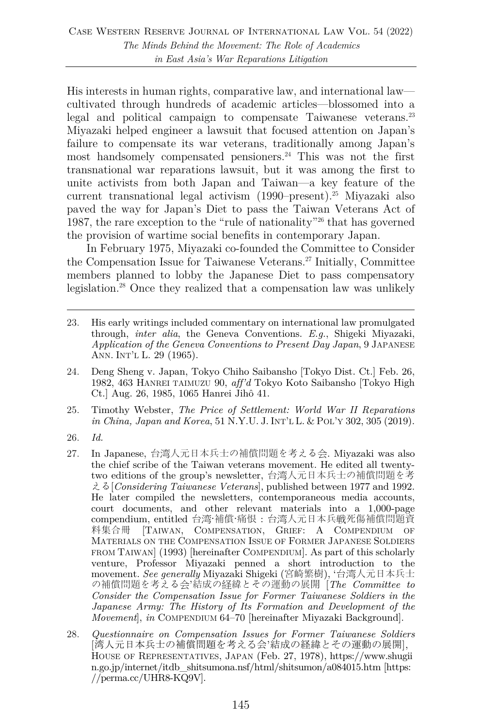His interests in human rights, comparative law, and international law cultivated through hundreds of academic articles—blossomed into a legal and political campaign to compensate Taiwanese veterans.<sup>23</sup> Miyazaki helped engineer a lawsuit that focused attention on Japan's failure to compensate its war veterans, traditionally among Japan's most handsomely compensated pensioners.<sup>24</sup> This was not the first transnational war reparations lawsuit, but it was among the first to unite activists from both Japan and Taiwan—a key feature of the current transnational legal activism (1990–present).<sup>25</sup> Miyazaki also paved the way for Japan's Diet to pass the Taiwan Veterans Act of 1987, the rare exception to the "rule of nationality"26 that has governed the provision of wartime social benefits in contemporary Japan.

In February 1975, Miyazaki co-founded the Committee to Consider the Compensation Issue for Taiwanese Veterans.27 Initially, Committee members planned to lobby the Japanese Diet to pass compensatory legislation.28 Once they realized that a compensation law was unlikely

- 23. His early writings included commentary on international law promulgated through, *inter alia*, the Geneva Conventions. *E.g.*, Shigeki Miyazaki, *Application of the Geneva Conventions to Present Day Japan*, 9 JAPANESE ANN. INT'L L. 29 (1965).
- 24. Deng Sheng v. Japan, Tokyo Chiho Saibansho [Tokyo Dist. Ct.] Feb. 26, 1982, 463 HANREI TAIMUZU 90, *aff'd* Tokyo Koto Saibansho [Tokyo High Ct.] Aug. 26, 1985, 1065 Hanrei Jihô 41.
- 25. Timothy Webster, *The Price of Settlement: World War II Reparations in China, Japan and Korea*, 51 N.Y.U. J. INT'L L. & POL'Y 302, 305 (2019).
- 26. *Id.*
- 27. In Japanese, 台湾人元日本兵士の補償問題を考える会. Miyazaki was also the chief scribe of the Taiwan veterans movement. He edited all twentytwo editions of the group's newsletter, 台湾人元日本兵士の補償問題を考 える[*Considering Taiwanese Veterans*], published between 1977 and 1992. He later compiled the newsletters, contemporaneous media accounts, court documents, and other relevant materials into a 1,000-page compendium, entitled 台湾·補償·痛恨 : 台湾人元日本兵戦死傷補償問題資 料集合冊 [TAIWAN, COMPENSATION, GRIEF: A COMPENDIUM OF MATERIALS ON THE COMPENSATION ISSUE OF FORMER JAPANESE SOLDIERS FROM TAIWAN] (1993) [hereinafter COMPENDIUM]. As part of this scholarly venture, Professor Miyazaki penned a short introduction to the movement. *See generally* Miyazaki Shigeki (宮崎繁樹), '台湾人元日本兵士 の補償問題を考える会'結成の経緯とその運動の展開 [*The Committee to Consider the Compensation Issue for Former Taiwanese Soldiers in the Japanese Army: The History of Its Formation and Development of the Movement*], *in* COMPENDIUM 64–70 [hereinafter Miyazaki Background].
- 28. *Questionnaire on Compensation Issues for Former Taiwanese Soldiers* [湾人元日本兵士の補償問題を考える会'結成の経緯とその運動の展開], HOUSE OF REPRESENTATIVES, JAPAN (Feb. 27, 1978), https://www.shugii n.go.jp/internet/itdb\_shitsumona.nsf/html/shitsumon/a084015.htm [https: //perma.cc/UHR8-KQ9V].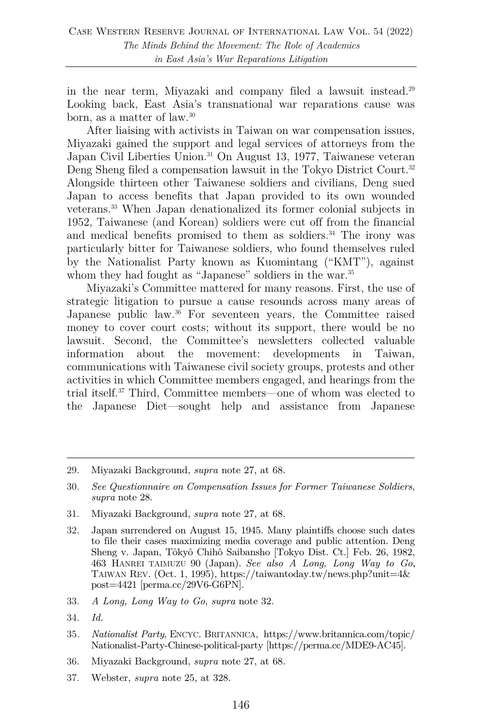in the near term, Miyazaki and company filed a lawsuit instead.29 Looking back, East Asia's transnational war reparations cause was born, as a matter of law.30

After liaising with activists in Taiwan on war compensation issues, Miyazaki gained the support and legal services of attorneys from the Japan Civil Liberties Union.<sup>31</sup> On August 13, 1977, Taiwanese veteran Deng Sheng filed a compensation lawsuit in the Tokyo District Court.<sup>32</sup> Alongside thirteen other Taiwanese soldiers and civilians, Deng sued Japan to access benefits that Japan provided to its own wounded veterans. <sup>33</sup> When Japan denationalized its former colonial subjects in 1952, Taiwanese (and Korean) soldiers were cut off from the financial and medical benefits promised to them as soldiers. <sup>34</sup> The irony was particularly bitter for Taiwanese soldiers, who found themselves ruled by the Nationalist Party known as Kuomintang ("KMT"), against whom they had fought as "Japanese" soldiers in the war.<sup>35</sup>

Miyazaki's Committee mattered for many reasons. First, the use of strategic litigation to pursue a cause resounds across many areas of Japanese public law.<sup>36</sup> For seventeen years, the Committee raised money to cover court costs; without its support, there would be no lawsuit. Second, the Committee's newsletters collected valuable information about the movement: developments in Taiwan, communications with Taiwanese civil society groups, protests and other activities in which Committee members engaged, and hearings from the trial itself.37 Third, Committee members—one of whom was elected to the Japanese Diet—sought help and assistance from Japanese

31. Miyazaki Background, *supra* note 27, at 68.

- 33. *A Long, Long Way to Go*, *supra* note 32.
- 34. *Id.*
- 35*. Nationalist Party*, ENCYC. BRITANNICA, https://www.britannica.com/topic/ Nationalist-Party-Chinese-political-party [https://perma.cc/MDE9-AC45].
- 36. Miyazaki Background, *supra* note 27, at 68.
- 37. Webster, *supra* note 25, at 328.

<sup>29.</sup> Miyazaki Background, *supra* note 27, at 68.

<sup>30.</sup> *See Questionnaire on Compensation Issues for Former Taiwanese Soldiers*, *supra* note 28.

<sup>32.</sup> Japan surrendered on August 15, 1945. Many plaintiffs choose such dates to file their cases maximizing media coverage and public attention. Deng Sheng v. Japan, Tôkyô Chihô Saibansho [Tokyo Dist. Ct.] Feb. 26, 1982, 463 HANREI TAIMUZU 90 (Japan). *See also A Long, Long Way to Go*, TAIWAN REV. (Oct. 1, 1995), https://taiwantoday.tw/news.php?unit=4 $\&$ post=4421 [perma.cc/29V6-G6PN].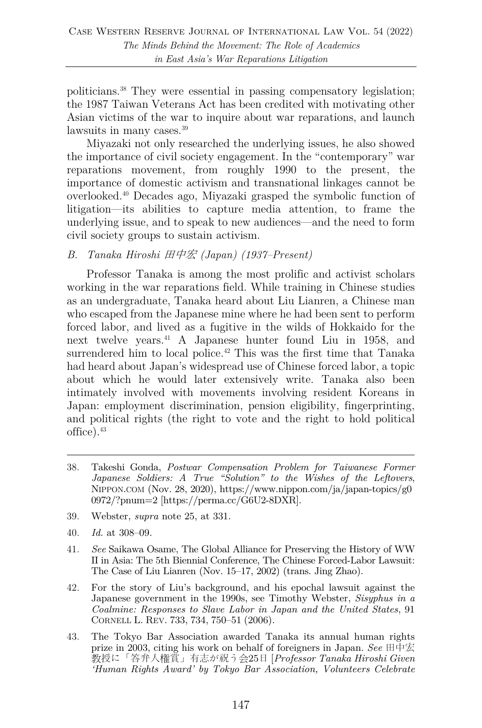politicians.38 They were essential in passing compensatory legislation; the 1987 Taiwan Veterans Act has been credited with motivating other Asian victims of the war to inquire about war reparations, and launch lawsuits in many cases.39

Miyazaki not only researched the underlying issues, he also showed the importance of civil society engagement. In the "contemporary" war reparations movement, from roughly 1990 to the present, the importance of domestic activism and transnational linkages cannot be overlooked.40 Decades ago, Miyazaki grasped the symbolic function of litigation—its abilities to capture media attention, to frame the underlying issue, and to speak to new audiences—and the need to form civil society groups to sustain activism.

#### *B. Tanaka Hiroshi* 田中宏 *(Japan) (1937–Present)*

Professor Tanaka is among the most prolific and activist scholars working in the war reparations field. While training in Chinese studies as an undergraduate, Tanaka heard about Liu Lianren, a Chinese man who escaped from the Japanese mine where he had been sent to perform forced labor, and lived as a fugitive in the wilds of Hokkaido for the next twelve years.41 A Japanese hunter found Liu in 1958, and surrendered him to local police.<sup>42</sup> This was the first time that Tanaka had heard about Japan's widespread use of Chinese forced labor, a topic about which he would later extensively write. Tanaka also been intimately involved with movements involving resident Koreans in Japan: employment discrimination, pension eligibility, fingerprinting, and political rights (the right to vote and the right to hold political office). 43

- 38. Takeshi Gonda, *Postwar Compensation Problem for Taiwanese Former Japanese Soldiers: A True "Solution" to the Wishes of the Leftovers*, NIPPON.COM (Nov. 28, 2020), https://www.nippon.com/ja/japan-topics/g0 0972/?pnum=2 [https://perma.cc/G6U2-8DXR].
- 39. Webster, *supra* note 25, at 331.
- 40. *Id.* at 308–09.
- 41. *See* Saikawa Osame, The Global Alliance for Preserving the History of WW II in Asia: The 5th Biennial Conference, The Chinese Forced-Labor Lawsuit: The Case of Liu Lianren (Nov. 15–17, 2002) (trans. Jing Zhao).
- 42. For the story of Liu's background, and his epochal lawsuit against the Japanese government in the 1990s, see Timothy Webster, *Sisyphus in a Coalmine: Responses to Slave Labor in Japan and the United States*, 91 CORNELL L. REV. 733, 734, 750–51 (2006).
- 43. The Tokyo Bar Association awarded Tanaka its annual human rights prize in 2003, citing his work on behalf of foreigners in Japan. *See* 田中宏 教授に「答弁人権賞」有志が祝う会25日 [*Professor Tanaka Hiroshi Given 'Human Rights Award' by Tokyo Bar Association, Volunteers Celebrate*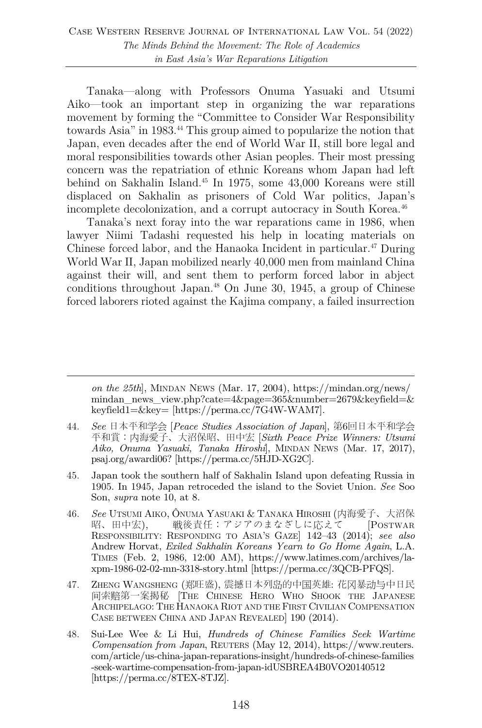Tanaka—along with Professors Onuma Yasuaki and Utsumi Aiko—took an important step in organizing the war reparations movement by forming the "Committee to Consider War Responsibility towards Asia" in 1983.44 This group aimed to popularize the notion that Japan, even decades after the end of World War II, still bore legal and moral responsibilities towards other Asian peoples. Their most pressing concern was the repatriation of ethnic Koreans whom Japan had left behind on Sakhalin Island. <sup>45</sup> In 1975, some 43,000 Koreans were still displaced on Sakhalin as prisoners of Cold War politics, Japan's incomplete decolonization, and a corrupt autocracy in South Korea. 46

Tanaka's next foray into the war reparations came in 1986, when lawyer Niimi Tadashi requested his help in locating materials on Chinese forced labor, and the Hanaoka Incident in particular.<sup>47</sup> During World War II, Japan mobilized nearly 40,000 men from mainland China against their will, and sent them to perform forced labor in abject conditions throughout Japan.48 On June 30, 1945, a group of Chinese forced laborers rioted against the Kajima company, a failed insurrection

*on the 25th*], MINDAN NEWS (Mar. 17, 2004), https://mindan.org/news/ mindan\_news\_view.php?cate=4&page=365&number=2679&keyfield=& keyfield1=&key= [https://perma.cc/7G4W-WAM7].

- 45. Japan took the southern half of Sakhalin Island upon defeating Russia in 1905. In 1945, Japan retroceded the island to the Soviet Union. *See* Soo Son, *supra* note 10, at 8.
- 46. *See* UTSUMI AIKO, ÔNUMA YASUAKI & TANAKA HIROSHI (内海愛子、大沼保 昭、田中宏), 戦後責任:アジアのまなざしに応えて [POSTWAR RESPONSIBILITY: RESPONDING TO ASIA'S GAZE] 142–43 (2014); *see also* Andrew Horvat, *Exiled Sakhalin Koreans Yearn to Go Home Again*, L.A. TIMES (Feb. 2, 1986, 12:00 AM), https://www.latimes.com/archives/laxpm-1986-02-02-mn-3318-story.html [https://perma.cc/3QCB-PFQS].
- 47. ZHENG WANGSHENG (郑旺盛), 震撼日本列岛的中国英雄: 花冈暴动与中日民 间索赔第一案揭秘 [THE CHINESE HERO WHO SHOOK THE JAPANESE ARCHIPELAGO: THE HANAOKA RIOT AND THE FIRST CIVILIAN COMPENSATION CASE BETWEEN CHINA AND JAPAN REVEALED] 190 (2014).
- 48. Sui-Lee Wee & Li Hui, *Hundreds of Chinese Families Seek Wartime Compensation from Japan*, REUTERS (May 12, 2014), https://www.reuters. com/article/us-china-japan-reparations-insight/hundreds-of-chinese-families -seek-wartime-compensation-from-japan-idUSBREA4B0VO20140512 [https://perma.cc/8TEX-8TJZ].

<sup>44.</sup> *See* 日本平和学会 [*Peace Studies Association of Japan*], 第6回日本平和学会 平和賞:内海愛子、大沼保昭、田中宏 [*Sixth Peace Prize Winners: Utsumi Aiko, Onuma Yasuaki, Tanaka Hiroshi*], MINDAN NEWS (Mar. 17, 2017), psaj.org/awardi06? [https://perma.cc/5HJD-XG2C].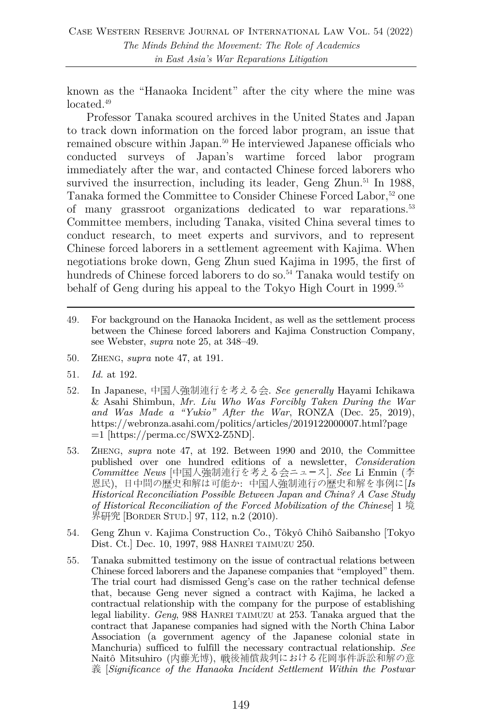known as the "Hanaoka Incident" after the city where the mine was located.<sup>49</sup>

Professor Tanaka scoured archives in the United States and Japan to track down information on the forced labor program, an issue that remained obscure within Japan.50 He interviewed Japanese officials who conducted surveys of Japan's wartime forced labor program immediately after the war, and contacted Chinese forced laborers who survived the insurrection, including its leader, Geng Zhun.<sup>51</sup> In 1988, Tanaka formed the Committee to Consider Chinese Forced Labor,<sup>52</sup> one of many grassroot organizations dedicated to war reparations.53 Committee members, including Tanaka, visited China several times to conduct research, to meet experts and survivors, and to represent Chinese forced laborers in a settlement agreement with Kajima. When negotiations broke down, Geng Zhun sued Kajima in 1995, the first of hundreds of Chinese forced laborers to do so.<sup>54</sup> Tanaka would testify on behalf of Geng during his appeal to the Tokyo High Court in 1999.<sup>55</sup>

- 49. For background on the Hanaoka Incident, as well as the settlement process between the Chinese forced laborers and Kajima Construction Company, see Webster, *supra* note 25, at 348–49.
- 50. ZHENG, *supra* note 47, at 191.
- 51. *Id.* at 192.
- 52. In Japanese, 中国人強制連行を考える会. *See generally* Hayami Ichikawa & Asahi Shimbun, *Mr. Liu Who Was Forcibly Taken During the War and Was Made a "Yukio" After the War*, RONZA (Dec. 25, 2019), https://webronza.asahi.com/politics/articles/2019122000007.html?page =1 [https://perma.cc/SWX2-Z5ND].
- 53. ZHENG, *supra* note 47, at 192. Between 1990 and 2010, the Committee published over one hundred editions of a newsletter, *Consideration Committee News* [中国人強制連行を考える会ニュ〡ス]. *See* Li Enmin (李 恩民), 日中間の歴史和解は可能か: 中国人強制連行の歴史和解を事例に[*Is Historical Reconciliation Possible Between Japan and China? A Case Study of Historical Reconciliation of the Forced Mobilization of the Chinese*] 1 境 界研究 [BORDER STUD.] 97, 112, n.2 (2010).
- 54. Geng Zhun v. Kajima Construction Co., Tôkyô Chihô Saibansho [Tokyo Dist. Ct.] Dec. 10, 1997, 988 HANREI TAIMUZU 250.
- 55. Tanaka submitted testimony on the issue of contractual relations between Chinese forced laborers and the Japanese companies that "employed" them. The trial court had dismissed Geng's case on the rather technical defense that, because Geng never signed a contract with Kajima, he lacked a contractual relationship with the company for the purpose of establishing legal liability. *Geng*, 988 HANREI TAIMUZU at 253. Tanaka argued that the contract that Japanese companies had signed with the North China Labor Association (a government agency of the Japanese colonial state in Manchuria) sufficed to fulfill the necessary contractual relationship. *See* Naitô Mitsuhiro (内藤光博), 戦後補償裁判における花岡事件訴訟和解の意 義 [*Significance of the Hanaoka Incident Settlement Within the Postwar*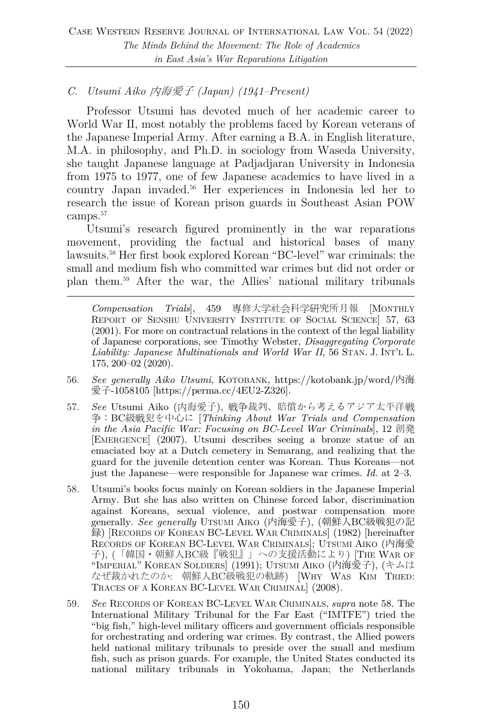# *C. Utsumi Aiko* 内海愛子 *(Japan) (1941–Present)*

Professor Utsumi has devoted much of her academic career to World War II, most notably the problems faced by Korean veterans of the Japanese Imperial Army. After earning a B.A. in English literature, M.A. in philosophy, and Ph.D. in sociology from Waseda University, she taught Japanese language at Padjadjaran University in Indonesia from 1975 to 1977, one of few Japanese academics to have lived in a country Japan invaded.56 Her experiences in Indonesia led her to research the issue of Korean prison guards in Southeast Asian POW camps. 57

Utsumi's research figured prominently in the war reparations movement, providing the factual and historical bases of many lawsuits.58 Her first book explored Korean "BC-level" war criminals: the small and medium fish who committed war crimes but did not order or plan them.59 After the war, the Allies' national military tribunals

*Compensation Trials*], 459 専修大学社会科学研究所月報 [MONTHLY REPORT OF SENSHU UNIVERSITY INSTITUTE OF SOCIAL SCIENCE] 57, 63 (2001). For more on contractual relations in the context of the legal liability of Japanese corporations, see Timothy Webster, *Disaggregating Corporate Liability: Japanese Multinationals and World War II*, 56 STAN. J. INT'L L. 175, 200–02 (2020).

- 56. *See generally Aiko Utsumi*, KOTOBANK, https://kotobank.jp/word/内海 愛子-1058105 [https://perma.cc/4EU2-Z326].
- 57. *See* Utsumi Aiko (内海愛子), 戦争裁判、賠償から考えるアジア太平洋戦 争:BC級戦犯を中心に [*Thinking About War Trials and Compensation in the Asia Pacific War: Focusing on BC-Level War Criminals*], 12 創発 [EMERGENCE] (2007). Utsumi describes seeing a bronze statue of an emaciated boy at a Dutch cemetery in Semarang, and realizing that the guard for the juvenile detention center was Korean. Thus Koreans—not just the Japanese—were responsible for Japanese war crimes. *Id.* at 2–3.
- 58. Utsumi's books focus mainly on Korean soldiers in the Japanese Imperial Army. But she has also written on Chinese forced labor, discrimination against Koreans, sexual violence, and postwar compensation more generally. *See generally* UTSUMI AIKO (内海愛子), (朝鮮人BC級戦犯の記 録) [RECORDS OF KOREAN BC-LEVEL WAR CRIMINALS] (1982) [hereinafter RECORDS OF KOREAN BC-LEVEL WAR CRIMINALS]; UTSUMI AIKO (内海愛 子), (「韓国・朝鮮人BC級『戦犯』」への支援活動により) [THE WAR OF "IMPERIAL" KOREAN SOLDIERS] (1991); UTSUMI AIKO (内海愛子), (キムは なぜ裁かれたのか: 朝鮮人BC級戦犯の軌跡) [WHY WAS KIM TRIED: TRACES OF A KOREAN BC-LEVEL WAR CRIMINAL] (2008)*.*
- 59. *See* RECORDS OF KOREAN BC-LEVEL WAR CRIMINALS, *supra* note 58. The International Military Tribunal for the Far East ("IMTFE") tried the "big fish," high-level military officers and government officials responsible for orchestrating and ordering war crimes. By contrast, the Allied powers held national military tribunals to preside over the small and medium fish, such as prison guards. For example, the United States conducted its national military tribunals in Yokohama, Japan; the Netherlands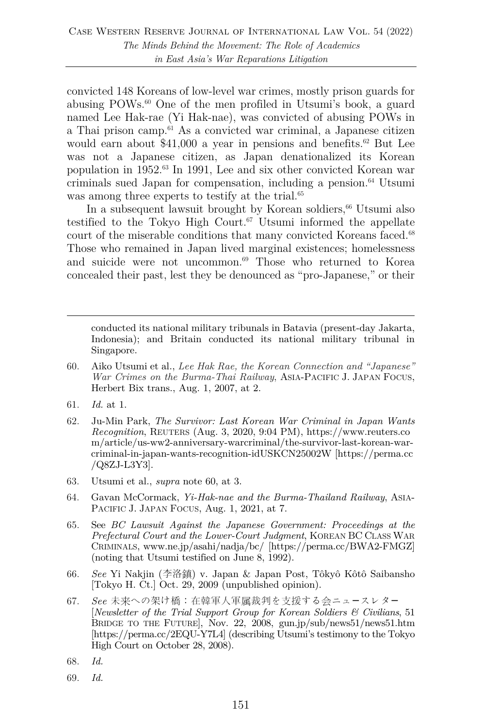convicted 148 Koreans of low-level war crimes, mostly prison guards for abusing POWs.60 One of the men profiled in Utsumi's book, a guard named Lee Hak-rae (Yi Hak-nae), was convicted of abusing POWs in a Thai prison camp.61 As a convicted war criminal, a Japanese citizen would earn about  $$41,000$  a year in pensions and benefits.<sup>62</sup> But Lee was not a Japanese citizen, as Japan denationalized its Korean population in 1952. <sup>63</sup> In 1991, Lee and six other convicted Korean war criminals sued Japan for compensation, including a pension.64 Utsumi was among three experts to testify at the trial.<sup>65</sup>

In a subsequent lawsuit brought by Korean soldiers, $66$  Utsumi also testified to the Tokyo High Court. $67$  Utsumi informed the appellate court of the miserable conditions that many convicted Koreans faced.<sup>68</sup> Those who remained in Japan lived marginal existences; homelessness and suicide were not uncommon. <sup>69</sup> Those who returned to Korea concealed their past, lest they be denounced as "pro-Japanese," or their

conducted its national military tribunals in Batavia (present-day Jakarta, Indonesia); and Britain conducted its national military tribunal in Singapore.

- 60. Aiko Utsumi et al., *Lee Hak Rae, the Korean Connection and "Japanese" War Crimes on the Burma-Thai Railway*, ASIA-PACIFIC J. JAPAN FOCUS, Herbert Bix trans., Aug. 1, 2007, at 2.
- 61. *Id.* at 1.
- 62. Ju-Min Park, *The Survivor: Last Korean War Criminal in Japan Wants Recognition*, REUTERS (Aug. 3, 2020, 9:04 PM), https://www.reuters.co m/article/us-ww2-anniversary-warcriminal/the-survivor-last-korean-warcriminal-in-japan-wants-recognition-idUSKCN25002W [https://perma.cc /Q8ZJ-L3Y3].
- 63. Utsumi et al., *supra* note 60, at 3.
- 64. Gavan McCormack, *Yi-Hak-nae and the Burma-Thailand Railway*, ASIA-PACIFIC J. JAPAN FOCUS, Aug. 1, 2021, at 7.
- 65. See *BC Lawsuit Against the Japanese Government: Proceedings at the Prefectural Court and the Lower-Court Judgment*, KOREAN BC CLASS WAR CRIMINALS, www.ne.jp/asahi/nadja/bc/ [https://perma.cc/BWA2-FMGZ] (noting that Utsumi testified on June 8, 1992).
- 66. *See* Yi Nakjin (李洛鎮) v. Japan & Japan Post, Tôkyô Kôtô Saibansho [Tokyo H. Ct.] Oct. 29, 2009 (unpublished opinion).
- 67. *See* 未来への架け橋: 在韓軍人軍属裁判を支援する会ニュースレター [*Newsletter of the Trial Support Group for Korean Soldiers & Civilians*, 51 BRIDGE TO THE FUTURE], Nov. 22, 2008, gun.jp/sub/news51/news51.htm [https://perma.cc/2EQU-Y7L4] (describing Utsumi's testimony to the Tokyo High Court on October 28, 2008).
- 68. *Id.*
- 69. *Id.*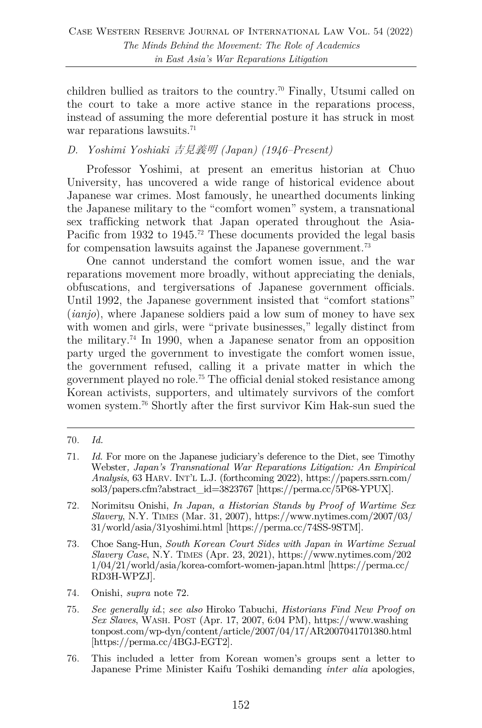children bullied as traitors to the country.<sup>70</sup> Finally, Utsumi called on the court to take a more active stance in the reparations process, instead of assuming the more deferential posture it has struck in most war reparations lawsuits.<sup>71</sup>

# *D. Yoshimi Yoshiaki* 吉見義明 *(Japan) (1946–Present)*

Professor Yoshimi, at present an emeritus historian at Chuo University, has uncovered a wide range of historical evidence about Japanese war crimes. Most famously, he unearthed documents linking the Japanese military to the "comfort women" system, a transnational sex trafficking network that Japan operated throughout the Asia-Pacific from 1932 to 1945.<sup>72</sup> These documents provided the legal basis for compensation lawsuits against the Japanese government.<sup>73</sup>

One cannot understand the comfort women issue, and the war reparations movement more broadly, without appreciating the denials, obfuscations, and tergiversations of Japanese government officials. Until 1992, the Japanese government insisted that "comfort stations" (*ianjo*), where Japanese soldiers paid a low sum of money to have sex with women and girls, were "private businesses," legally distinct from the military.74 In 1990, when a Japanese senator from an opposition party urged the government to investigate the comfort women issue, the government refused, calling it a private matter in which the government played no role.75 The official denial stoked resistance among Korean activists, supporters, and ultimately survivors of the comfort women system. <sup>76</sup> Shortly after the first survivor Kim Hak-sun sued the

- 74. Onishi, *supra* note 72.
- 75. *See generally id*.; *see also* Hiroko Tabuchi, *Historians Find New Proof on Sex Slaves*, WASH. POST (Apr. 17, 2007, 6:04 PM), https://www.washing tonpost.com/wp-dyn/content/article/2007/04/17/AR2007041701380.html [https://perma.cc/4BGJ-EGT2].
- 76. This included a letter from Korean women's groups sent a letter to Japanese Prime Minister Kaifu Toshiki demanding *inter alia* apologies,

<sup>70.</sup> *Id.*

<sup>71.</sup> *Id.* For more on the Japanese judiciary's deference to the Diet, see Timothy Webster*, Japan's Transnational War Reparations Litigation: An Empirical Analysis*, 63 HARV. INT'L L.J. (forthcoming 2022), https://papers.ssrn.com/ sol3/papers.cfm?abstract\_id=3823767 [https://perma.cc/5P68-YPUX].

<sup>72.</sup> Norimitsu Onishi, *In Japan, a Historian Stands by Proof of Wartime Sex Slavery*, N.Y. TIMES (Mar. 31, 2007), https://www.nytimes.com/2007/03/ 31/world/asia/31yoshimi.html [https://perma.cc/74SS-9STM].

<sup>73.</sup> Choe Sang-Hun, *South Korean Court Sides with Japan in Wartime Sexual Slavery Case*, N.Y. TIMES (Apr. 23, 2021), https://www.nytimes.com/202 1/04/21/world/asia/korea-comfort-women-japan.html [https://perma.cc/ RD3H-WPZJ].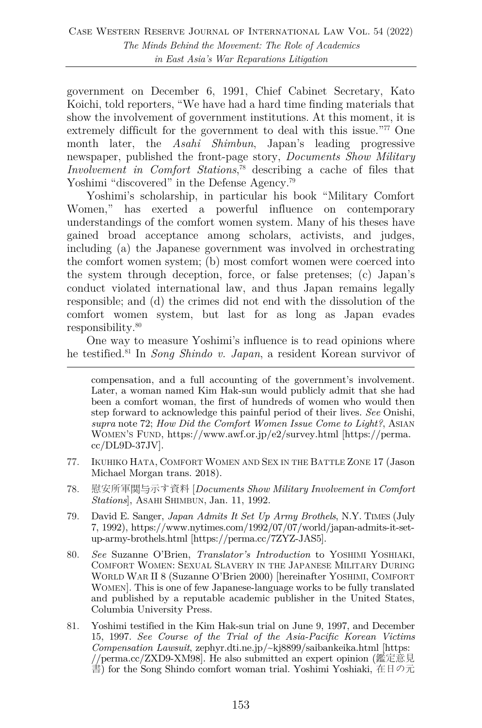government on December 6, 1991, Chief Cabinet Secretary, Kato Koichi, told reporters, "We have had a hard time finding materials that show the involvement of government institutions. At this moment, it is extremely difficult for the government to deal with this issue."<sup>77</sup> One month later, the *Asahi Shimbun*, Japan's leading progressive newspaper, published the front-page story, *Documents Show Military Involvement in Comfort Stations*, <sup>78</sup> describing a cache of files that Yoshimi "discovered" in the Defense Agency.<sup>79</sup>

Yoshimi's scholarship, in particular his book "Military Comfort Women," has exerted a powerful influence on contemporary understandings of the comfort women system. Many of his theses have gained broad acceptance among scholars, activists, and judges, including (a) the Japanese government was involved in orchestrating the comfort women system; (b) most comfort women were coerced into the system through deception, force, or false pretenses; (c) Japan's conduct violated international law, and thus Japan remains legally responsible; and (d) the crimes did not end with the dissolution of the comfort women system, but last for as long as Japan evades responsibility.80

One way to measure Yoshimi's influence is to read opinions where he testified. <sup>81</sup> In *Song Shindo v. Japan*, a resident Korean survivor of

- 77. IKUHIKO HATA, COMFORT WOMEN AND SEX IN THE BATTLE ZONE 17 (Jason Michael Morgan trans. 2018).
- 78. 慰安所軍関与示す資料 [*Documents Show Military Involvement in Comfort Stations*], ASAHI SHIMBUN, Jan. 11, 1992.
- 79. David E. Sanger, *Japan Admits It Set Up Army Brothels*, N.Y. TIMES (July 7, 1992), https://www.nytimes.com/1992/07/07/world/japan-admits-it-setup-army-brothels.html [https://perma.cc/7ZYZ-JAS5].
- 80. *See* Suzanne O'Brien, *Translator's Introduction* to YOSHIMI YOSHIAKI, COMFORT WOMEN: SEXUAL SLAVERY IN THE JAPANESE MILITARY DURING WORLD WAR II 8 (Suzanne O'Brien 2000) [hereinafter YOSHIMI, COMFORT WOMEN]. This is one of few Japanese-language works to be fully translated and published by a reputable academic publisher in the United States, Columbia University Press.
- 81. Yoshimi testified in the Kim Hak-sun trial on June 9, 1997, and December 15, 1997. *See Course of the Trial of the Asia-Pacific Korean Victims Compensation Lawsuit*, zephyr.dti.ne.jp/~kj8899/saibankeika.html [https: //perma.cc/ZXD9-XM98]. He also submitted an expert opinion (鑑定意見 書) for the Song Shindo comfort woman trial. Yoshimi Yoshiaki, 在日の元

compensation, and a full accounting of the government's involvement. Later, a woman named Kim Hak-sun would publicly admit that she had been a comfort woman, the first of hundreds of women who would then step forward to acknowledge this painful period of their lives. *See* Onishi, *supra* note 72; *How Did the Comfort Women Issue Come to Light?*, ASIAN WOMEN'S FUND, https://www.awf.or.jp/e2/survey.html [https://perma. cc/DL9D-37JV].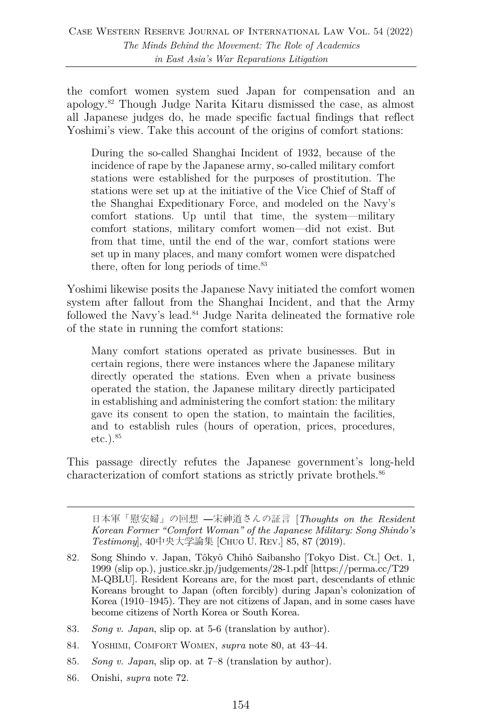the comfort women system sued Japan for compensation and an apology.82 Though Judge Narita Kitaru dismissed the case, as almost all Japanese judges do, he made specific factual findings that reflect Yoshimi's view. Take this account of the origins of comfort stations:

During the so-called Shanghai Incident of 1932, because of the incidence of rape by the Japanese army, so-called military comfort stations were established for the purposes of prostitution. The stations were set up at the initiative of the Vice Chief of Staff of the Shanghai Expeditionary Force, and modeled on the Navy's comfort stations. Up until that time, the system—military comfort stations, military comfort women—did not exist. But from that time, until the end of the war, comfort stations were set up in many places, and many comfort women were dispatched there, often for long periods of time. $83$ 

Yoshimi likewise posits the Japanese Navy initiated the comfort women system after fallout from the Shanghai Incident, and that the Army followed the Navy's lead. <sup>84</sup> Judge Narita delineated the formative role of the state in running the comfort stations:

Many comfort stations operated as private businesses. But in certain regions, there were instances where the Japanese military directly operated the stations. Even when a private business operated the station, the Japanese military directly participated in establishing and administering the comfort station: the military gave its consent to open the station, to maintain the facilities, and to establish rules (hours of operation, prices, procedures,  $etc.$ ).  $85$ 

This passage directly refutes the Japanese government's long-held characterization of comfort stations as strictly private brothels.<sup>86</sup>

日本軍「慰安婦」の回想 ―宋神道さんの証言 [*Thoughts on the Resident Korean Former "Comfort Woman" of the Japanese Military: Song Shindo's Testimony*], 40中央大学論集 [CHUO U. REV.] 85, 87 (2019).

- 85. *Song v. Japan*, slip op. at 7–8 (translation by author).
- 86. Onishi, *supra* note 72.

<sup>82.</sup> Song Shindo v. Japan, Tôkyô Chihô Saibansho [Tokyo Dist. Ct.] Oct. 1, 1999 (slip op.), justice.skr.jp/judgements/28-1.pdf [https://perma.cc/T29 M-QBLU]. Resident Koreans are, for the most part, descendants of ethnic Koreans brought to Japan (often forcibly) during Japan's colonization of Korea (1910–1945). They are not citizens of Japan, and in some cases have become citizens of North Korea or South Korea.

<sup>83.</sup> *Song v. Japan*, slip op. at 5-6 (translation by author).

<sup>84.</sup> YOSHIMI, COMFORT WOMEN, *supra* note 80, at 43–44.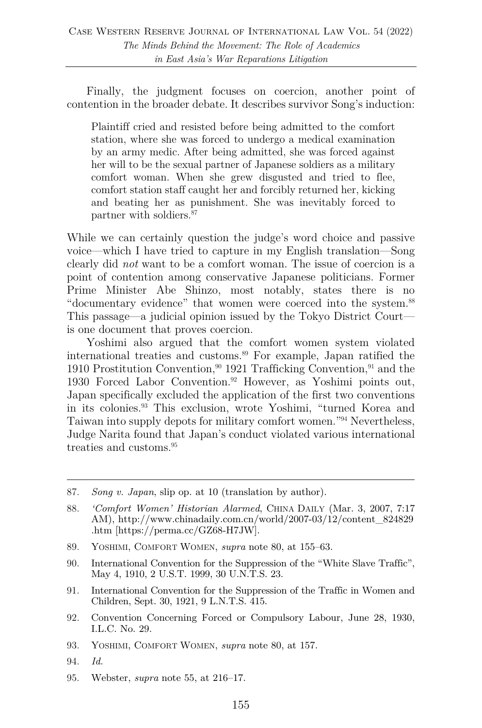Finally, the judgment focuses on coercion, another point of contention in the broader debate. It describes survivor Song's induction:

Plaintiff cried and resisted before being admitted to the comfort station, where she was forced to undergo a medical examination by an army medic. After being admitted, she was forced against her will to be the sexual partner of Japanese soldiers as a military comfort woman. When she grew disgusted and tried to flee, comfort station staff caught her and forcibly returned her, kicking and beating her as punishment. She was inevitably forced to partner with soldiers.87

While we can certainly question the judge's word choice and passive voice—which I have tried to capture in my English translation—Song clearly did *not* want to be a comfort woman. The issue of coercion is a point of contention among conservative Japanese politicians. Former Prime Minister Abe Shinzo, most notably, states there is no "documentary evidence" that women were coerced into the system.<sup>88</sup> This passage—a judicial opinion issued by the Tokyo District Court is one document that proves coercion.

Yoshimi also argued that the comfort women system violated international treaties and customs.89 For example, Japan ratified the 1910 Prostitution Convention,  $90$  1921 Trafficking Convention,  $91$  and the 1930 Forced Labor Convention.92 However, as Yoshimi points out, Japan specifically excluded the application of the first two conventions in its colonies.93 This exclusion, wrote Yoshimi, "turned Korea and Taiwan into supply depots for military comfort women."94 Nevertheless, Judge Narita found that Japan's conduct violated various international treaties and customs.<sup>95</sup>

- 88. *'Comfort Women' Historian Alarmed*, CHINA DAILY (Mar. 3, 2007, 7:17 AM), http://www.chinadaily.com.cn/world/2007-03/12/content\_824829 .htm [https://perma.cc/GZ68-H7JW].
- 89. YOSHIMI, COMFORT WOMEN, *supra* note 80, at 155–63.
- 90. International Convention for the Suppression of the "White Slave Traffic", May 4, 1910, 2 U.S.T. 1999, 30 U.N.T.S. 23.
- 91. International Convention for the Suppression of the Traffic in Women and Children, Sept. 30, 1921, 9 L.N.T.S. 415.
- 92. Convention Concerning Forced or Compulsory Labour, June 28, 1930, I.L.C. No. 29.
- 93. YOSHIMI, COMFORT WOMEN, *supra* note 80, at 157.
- 94. *Id.*
- 95. Webster, *supra* note 55, at 216–17.

<sup>87.</sup> *Song v. Japan*, slip op. at 10 (translation by author).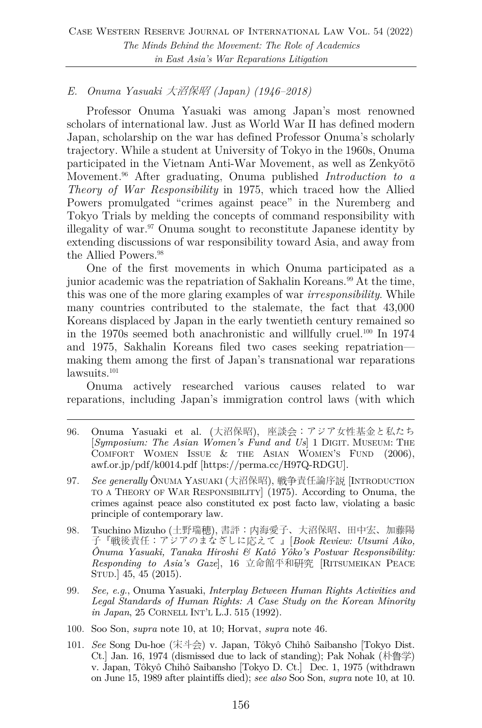# *E. Onuma Yasuaki* 大沼保昭 *(Japan) (1946–2018)*

Professor Onuma Yasuaki was among Japan's most renowned scholars of international law. Just as World War II has defined modern Japan, scholarship on the war has defined Professor Onuma's scholarly trajectory. While a student at University of Tokyo in the 1960s, Onuma participated in the Vietnam Anti-War Movement, as well as Zenkyōtō Movement.96 After graduating, Onuma published *Introduction to a Theory of War Responsibility* in 1975, which traced how the Allied Powers promulgated "crimes against peace" in the Nuremberg and Tokyo Trials by melding the concepts of command responsibility with illegality of war. $\alpha$ <sup>97</sup> Onuma sought to reconstitute Japanese identity by extending discussions of war responsibility toward Asia, and away from the Allied Powers.98

One of the first movements in which Onuma participated as a junior academic was the repatriation of Sakhalin Koreans.<sup>99</sup> At the time, this was one of the more glaring examples of war *irresponsibility*. While many countries contributed to the stalemate, the fact that 43,000 Koreans displaced by Japan in the early twentieth century remained so in the 1970s seemed both anachronistic and willfully cruel.100 In 1974 and 1975, Sakhalin Koreans filed two cases seeking repatriation making them among the first of Japan's transnational war reparations lawsuits.<sup>101</sup>

Onuma actively researched various causes related to war reparations, including Japan's immigration control laws (with which

- 96. Onuma Yasuaki et al. (大沼保昭), 座談会:アジア女性基金と私たち [*Symposium: The Asian Women's Fund and Us*] 1 DIGIT. MUSEUM: THE COMFORT WOMEN ISSUE & THE ASIAN WOMEN'S FUND (2006), awf.or.jp/pdf/k0014.pdf [https://perma.cc/H97Q-RDGU].
- 97. *See generally* ÔNUMA YASUAKI (大沼保昭), 戦争責任論序説 [INTRODUCTION TO A THEORY OF WAR RESPONSIBILITY] (1975). According to Onuma, the crimes against peace also constituted ex post facto law, violating a basic principle of contemporary law.
- 98. Tsuchino Mizuho (土野瑞穂), 書評:内海愛子、大沼保昭、田中宏、加藤陽 子『戦後責任:アジアのまなざしに応えて 』[*Book Review: Utsumi Aiko, Ônuma Yasuaki, Tanaka Hiroshi & Katô Yôko's Postwar Responsibility: Responding to Asia's Gaze*], 16 立命館平和研究 [RITSUMEIKAN PEACE STUD.] 45, 45 (2015).
- 99. *See, e.g.*, Onuma Yasuaki, *Interplay Between Human Rights Activities and Legal Standards of Human Rights: A Case Study on the Korean Minority in Japan*, 25 CORNELL INT'L L.J. 515 (1992).
- 100. Soo Son, *supra* note 10, at 10; Horvat, *supra* note 46.
- 101. *See* Song Du-hoe (宋斗会) v. Japan, Tôkyô Chihô Saibansho [Tokyo Dist. Ct.] Jan. 16, 1974 (dismissed due to lack of standing); Pak Nohak (朴鲁学) v. Japan, Tôkyô Chihô Saibansho [Tokyo D. Ct.]Dec. 1, 1975 (withdrawn on June 15, 1989 after plaintiffs died); *see also* Soo Son, *supra* note 10, at 10.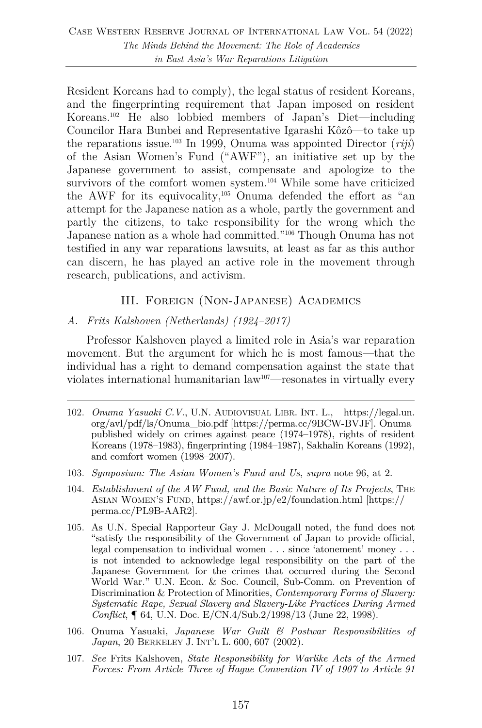Resident Koreans had to comply), the legal status of resident Koreans, and the fingerprinting requirement that Japan imposed on resident Koreans.102 He also lobbied members of Japan's Diet—including Councilor Hara Bunbei and Representative Igarashi Kôzô—to take up the reparations issue.103 In 1999, Onuma was appointed Director (*riji*) of the Asian Women's Fund ("AWF"), an initiative set up by the Japanese government to assist, compensate and apologize to the survivors of the comfort women system.<sup>104</sup> While some have criticized the AWF for its equivocality,105 Onuma defended the effort as "an attempt for the Japanese nation as a whole, partly the government and partly the citizens, to take responsibility for the wrong which the Japanese nation as a whole had committed."106 Though Onuma has not testified in any war reparations lawsuits, at least as far as this author can discern, he has played an active role in the movement through research, publications, and activism.

# III. Foreign (Non-Japanese) Academics

#### *A. Frits Kalshoven (Netherlands) (1924–2017)*

Professor Kalshoven played a limited role in Asia's war reparation movement. But the argument for which he is most famous—that the individual has a right to demand compensation against the state that violates international humanitarian law107—resonates in virtually every

- 103. *Symposium: The Asian Women's Fund and Us*, *supra* note 96, at 2.
- 104. *Establishment of the AW Fund, and the Basic Nature of Its Projects*, THE ASIAN WOMEN'S FUND, https://awf.or.jp/e2/foundation.html [https:// perma.cc/PL9B-AAR2].
- 105. As U.N. Special Rapporteur Gay J. McDougall noted, the fund does not "satisfy the responsibility of the Government of Japan to provide official, legal compensation to individual women . . . since 'atonement' money . . . is not intended to acknowledge legal responsibility on the part of the Japanese Government for the crimes that occurred during the Second World War." U.N. Econ. & Soc. Council, Sub-Comm. on Prevention of Discrimination & Protection of Minorities, *Contemporary Forms of Slavery: Systematic Rape, Sexual Slavery and Slavery-Like Practices During Armed Conflict*, ¶ 64, U.N. Doc. E/CN.4/Sub.2/1998/13 (June 22, 1998).
- 106. Onuma Yasuaki, *Japanese War Guilt & Postwar Responsibilities of Japan*, 20 BERKELEY J. INT'L L. 600, 607 (2002).
- 107. *See* Frits Kalshoven, *State Responsibility for Warlike Acts of the Armed Forces: From Article Three of Hague Convention IV of 1907 to Article 91*

<sup>102.</sup> *Onuma Yasuaki C.V.*, U.N. AUDIOVISUAL LIBR. INT. L., https://legal.un. org/avl/pdf/ls/Onuma\_bio.pdf [https://perma.cc/9BCW-BVJF]. Onuma published widely on crimes against peace (1974–1978), rights of resident Koreans (1978–1983), fingerprinting (1984–1987), Sakhalin Koreans (1992), and comfort women (1998–2007).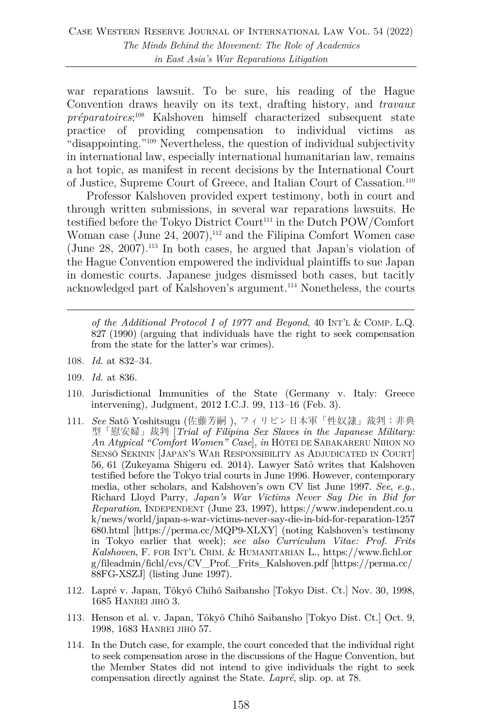war reparations lawsuit. To be sure, his reading of the Hague Convention draws heavily on its text, drafting history, and *travaux préparatoires*; <sup>108</sup> Kalshoven himself characterized subsequent state practice of providing compensation to individual victims as "disappointing."109 Nevertheless, the question of individual subjectivity in international law, especially international humanitarian law, remains a hot topic, as manifest in recent decisions by the International Court of Justice, Supreme Court of Greece, and Italian Court of Cassation.110

Professor Kalshoven provided expert testimony, both in court and through written submissions, in several war reparations lawsuits. He testified before the Tokyo District Court<sup>111</sup> in the Dutch POW/Comfort Woman case (June 24, 2007),<sup>112</sup> and the Filipina Comfort Women case (June  $28$ ,  $2007$ ).<sup>113</sup> In both cases, he argued that Japan's violation of the Hague Convention empowered the individual plaintiffs to sue Japan in domestic courts. Japanese judges dismissed both cases, but tacitly acknowledged part of Kalshoven's argument.114 Nonetheless, the courts

*of the Additional Protocol I of 1977 and Beyond*, 40 INT'L & COMP. L.Q. 827 (1990) (arguing that individuals have the right to seek compensation from the state for the latter's war crimes).

- 108. *Id.* at 832–34.
- 109. *Id.* at 836.
- 110. Jurisdictional Immunities of the State (Germany v. Italy: Greece intervening), Judgment, 2012 I.C.J. 99, 113–16 (Feb. 3).
- 111. *See* Satô Yoshitsugu (佐藤芳嗣 ), フィリピン日本軍「性奴隷」裁判:非典 型「慰安婦」裁判 [*Trial of Filipina Sex Slaves in the Japanese Military: An Atypical "Comfort Women" Case*], *in* HÔTEI DE SABAKARERU NIHON NO SENSÔ SEKININ [JAPAN'S WAR RESPONSIBILITY AS ADJUDICATED IN COURT] 56, 61 (Zukeyama Shigeru ed. 2014). Lawyer Satô writes that Kalshoven testified before the Tokyo trial courts in June 1996. However, contemporary media, other scholars, and Kalshoven's own CV list June 1997. *See*, *e.g.*, Richard Lloyd Parry, *Japan's War Victims Never Say Die in Bid for Reparation*, INDEPENDENT (June 23, 1997), https://www.independent.co.u k/news/world/japan-s-war-victims-never-say-die-in-bid-for-reparation-1257 680.html [https://perma.cc/MQP9-XLXY] (noting Kalshoven's testimony in Tokyo earlier that week); *see also Curriculum Vitae: Prof. Frits Kalshoven*, F. FOR INT'L CRIM. & HUMANITARIAN L., https://www.fichl.or g/fileadmin/fichl/cvs/CV\_Prof.\_Frits\_Kalshoven.pdf [https://perma.cc/ 88FG-XSZJ] (listing June 1997).
- 112. Lapré v. Japan, Tôkyô Chihô Saibansho [Tokyo Dist. Ct.] Nov. 30, 1998, 1685 HANREI JIHÔ 3.
- 113*.* Henson et al. v. Japan, Tôkyô Chihô Saibansho [Tokyo Dist. Ct.] Oct. 9, 1998, 1683 HANREI JIHÔ 57.
- 114. In the Dutch case, for example, the court conceded that the individual right to seek compensation arose in the discussions of the Hague Convention, but the Member States did not intend to give individuals the right to seek compensation directly against the State. *Lapré*, slip. op. at 78.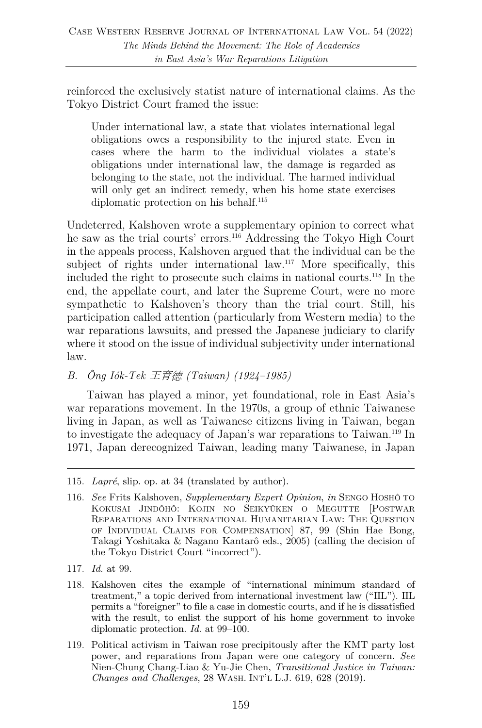reinforced the exclusively statist nature of international claims. As the Tokyo District Court framed the issue:

Under international law, a state that violates international legal obligations owes a responsibility to the injured state. Even in cases where the harm to the individual violates a state's obligations under international law, the damage is regarded as belonging to the state, not the individual. The harmed individual will only get an indirect remedy, when his home state exercises diplomatic protection on his behalf.115

Undeterred, Kalshoven wrote a supplementary opinion to correct what he saw as the trial courts' errors.116 Addressing the Tokyo High Court in the appeals process, Kalshoven argued that the individual can be the subject of rights under international law.<sup>117</sup> More specifically, this included the right to prosecute such claims in national courts.118 In the end, the appellate court, and later the Supreme Court, were no more sympathetic to Kalshoven's theory than the trial court. Still, his participation called attention (particularly from Western media) to the war reparations lawsuits, and pressed the Japanese judiciary to clarify where it stood on the issue of individual subjectivity under international law.

# *B. Ông Iók-Tek* 王育徳 *(Taiwan) (1924–1985)*

Taiwan has played a minor, yet foundational, role in East Asia's war reparations movement. In the 1970s, a group of ethnic Taiwanese living in Japan, as well as Taiwanese citizens living in Taiwan, began to investigate the adequacy of Japan's war reparations to Taiwan.119 In 1971, Japan derecognized Taiwan, leading many Taiwanese, in Japan

<sup>115.</sup> *Lapré*, slip. op. at 34 (translated by author).

<sup>116.</sup> *See* Frits Kalshoven, *Supplementary Expert Opinion*, *in* SENGO HOSHÔ TO KOKUSAI JINDÔHÔ: KOJIN NO SEIKYÛKEN O MEGUTTE [POSTWAR REPARATIONS AND INTERNATIONAL HUMANITARIAN LAW: THE QUESTION OF INDIVIDUAL CLAIMS FOR COMPENSATION] 87, 99 (Shin Hae Bong, Takagi Yoshitaka & Nagano Kantarô eds., 2005) (calling the decision of the Tokyo District Court "incorrect").

<sup>117.</sup> *Id.* at 99.

<sup>118.</sup> Kalshoven cites the example of "international minimum standard of treatment," a topic derived from international investment law ("IIL"). IIL permits a "foreigner" to file a case in domestic courts, and if he is dissatisfied with the result, to enlist the support of his home government to invoke diplomatic protection. *Id.* at 99–100.

<sup>119.</sup> Political activism in Taiwan rose precipitously after the KMT party lost power, and reparations from Japan were one category of concern. *See* Nien-Chung Chang-Liao & Yu-Jie Chen, *Transitional Justice in Taiwan: Changes and Challenges*, 28 WASH. INT'L L.J. 619, 628 (2019).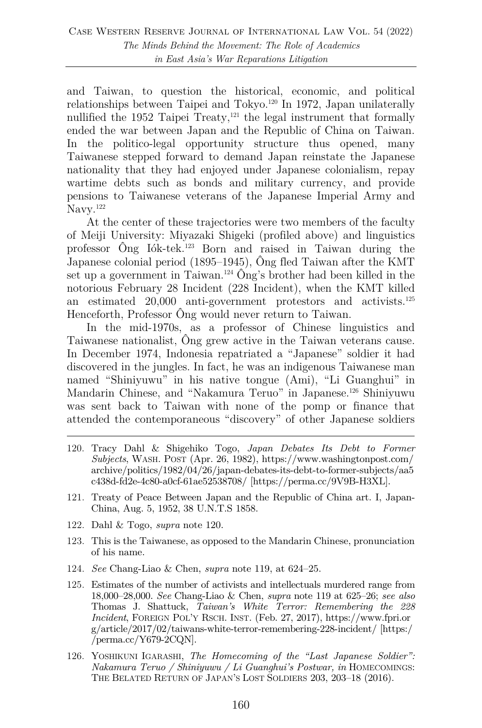and Taiwan, to question the historical, economic, and political relationships between Taipei and Tokyo.120 In 1972, Japan unilaterally nullified the 1952 Taipei Treaty, $121$  the legal instrument that formally ended the war between Japan and the Republic of China on Taiwan. In the politico-legal opportunity structure thus opened, many Taiwanese stepped forward to demand Japan reinstate the Japanese nationality that they had enjoyed under Japanese colonialism, repay wartime debts such as bonds and military currency, and provide pensions to Taiwanese veterans of the Japanese Imperial Army and Navy.<sup>122</sup>

At the center of these trajectories were two members of the faculty of Meiji University: Miyazaki Shigeki (profiled above) and linguistics professor Ông Iók-tek.123 Born and raised in Taiwan during the Japanese colonial period (1895–1945), Ông fled Taiwan after the KMT set up a government in Taiwan.<sup>124</sup>  $\hat{O}_{ng}$ 's brother had been killed in the notorious February 28 Incident (228 Incident), when the KMT killed an estimated 20,000 anti-government protestors and activists.125 Henceforth, Professor Ông would never return to Taiwan.

In the mid-1970s, as a professor of Chinese linguistics and Taiwanese nationalist, Ông grew active in the Taiwan veterans cause. In December 1974, Indonesia repatriated a "Japanese" soldier it had discovered in the jungles. In fact, he was an indigenous Taiwanese man named "Shiniyuwu" in his native tongue (Ami), "Li Guanghui" in Mandarin Chinese, and "Nakamura Teruo" in Japanese.126 Shiniyuwu was sent back to Taiwan with none of the pomp or finance that attended the contemporaneous "discovery" of other Japanese soldiers

- 120. Tracy Dahl & Shigehiko Togo, *Japan Debates Its Debt to Former Subjects*, WASH. POST (Apr. 26, 1982), https://www.washingtonpost.com/ archive/politics/1982/04/26/japan-debates-its-debt-to-former-subjects/aa5 c438d-fd2e-4c80-a0cf-61ae52538708/ [https://perma.cc/9V9B-H3XL].
- 121. Treaty of Peace Between Japan and the Republic of China art. I, Japan-China, Aug. 5, 1952, 38 U.N.T.S 1858.
- 122. Dahl & Togo, *supra* note 120.
- 123. This is the Taiwanese, as opposed to the Mandarin Chinese, pronunciation of his name.
- 124. *See* Chang-Liao & Chen, *supra* note 119, at 624–25.
- 125. Estimates of the number of activists and intellectuals murdered range from 18,000–28,000. *See* Chang-Liao & Chen, *supra* note 119 at 625–26; *see also* Thomas J. Shattuck, *Taiwan's White Terror: Remembering the 228 Incident*, FOREIGN POL'Y RSCH. INST. (Feb. 27, 2017), https://www.fpri.or g/article/2017/02/taiwans-white-terror-remembering-228-incident/ [https:/ /perma.cc/Y679-2CQN].
- 126. YOSHIKUNI IGARASHI, *The Homecoming of the "Last Japanese Soldier": Nakamura Teruo / Shiniyuwu / Li Guanghui's Postwar, in* HOMECOMINGS: THE BELATED RETURN OF JAPAN'S LOST SOLDIERS 203, 203–18 (2016).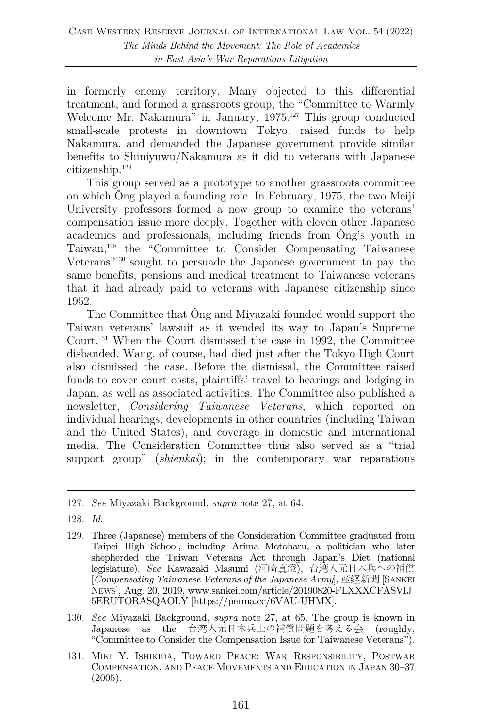in formerly enemy territory. Many objected to this differential treatment, and formed a grassroots group, the "Committee to Warmly Welcome Mr. Nakamura" in January, 1975.<sup>127</sup> This group conducted small-scale protests in downtown Tokyo, raised funds to help Nakamura, and demanded the Japanese government provide similar benefits to Shiniyuwu/Nakamura as it did to veterans with Japanese citizenship.128

This group served as a prototype to another grassroots committee on which Ông played a founding role. In February, 1975, the two Meiji University professors formed a new group to examine the veterans' compensation issue more deeply. Together with eleven other Japanese academics and professionals, including friends from Ông's youth in Taiwan,129 the "Committee to Consider Compensating Taiwanese Veterans"130 sought to persuade the Japanese government to pay the same benefits, pensions and medical treatment to Taiwanese veterans that it had already paid to veterans with Japanese citizenship since 1952.

The Committee that Ông and Miyazaki founded would support the Taiwan veterans' lawsuit as it wended its way to Japan's Supreme Court.131 When the Court dismissed the case in 1992, the Committee disbanded. Wang, of course, had died just after the Tokyo High Court also dismissed the case. Before the dismissal, the Committee raised funds to cover court costs, plaintiffs' travel to hearings and lodging in Japan, as well as associated activities. The Committee also published a newsletter, *Considering Taiwanese Veterans*, which reported on individual hearings, developments in other countries (including Taiwan and the United States), and coverage in domestic and international media. The Consideration Committee thus also served as a "trial support group" (*shienkai*); in the contemporary war reparations

- 130. *See* Miyazaki Background, *supra* note 27, at 65. The group is known in Japanese as the 台湾人元日本兵士の補償問題を考える会 (roughly, "Committee to Consider the Compensation Issue for Taiwanese Veterans").
- 131. MIKI Y. ISHIKIDA, TOWARD PEACE: WAR RESPONSIBILITY, POSTWAR COMPENSATION, AND PEACE MOVEMENTS AND EDUCATION IN JAPAN 30–37 (2005).

<sup>127.</sup> *See* Miyazaki Background, *supra* note 27, at 64.

<sup>128.</sup> *Id.*

<sup>129.</sup> Three (Japanese) members of the Consideration Committee graduated from Taipei High School, including Arima Motoharu, a politician who later shepherded the Taiwan Veterans Act through Japan's Diet (national legislature). *See* Kawazaki Masumi (河崎真澄), 台湾人元日本兵への補償 [*Compensating Taiwanese Veterans of the Japanese Army*], 産経新聞 [SANKEI NEWS], Aug. 20, 2019, www.sankei.com/article/20190820-FLXXXCFASVIJ 5ERUTORASQAOLY [https://perma.cc/6VAU-UHMX].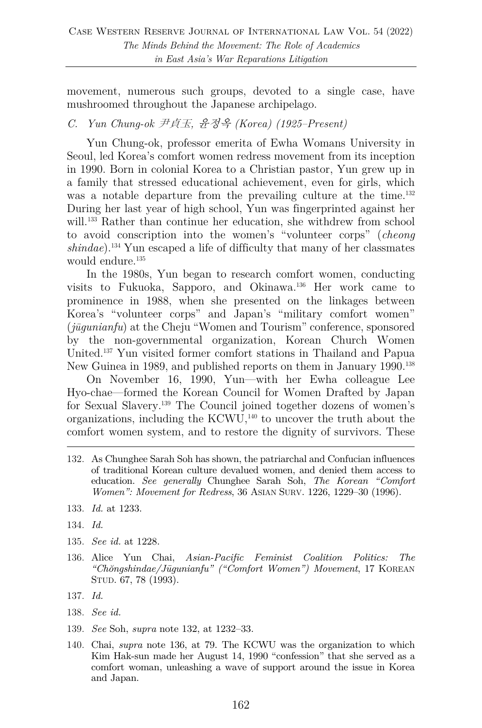movement, numerous such groups, devoted to a single case, have mushroomed throughout the Japanese archipelago.

#### *C. Yun Chung-ok* 尹貞玉*,* 윤정옥 *(Korea) (1925–Present)*

Yun Chung-ok, professor emerita of Ewha Womans University in Seoul, led Korea's comfort women redress movement from its inception in 1990. Born in colonial Korea to a Christian pastor, Yun grew up in a family that stressed educational achievement, even for girls, which was a notable departure from the prevailing culture at the time.<sup>132</sup> During her last year of high school, Yun was fingerprinted against her will.<sup>133</sup> Rather than continue her education, she withdrew from school to avoid conscription into the women's "volunteer corps" (*cheong shindae*).134 Yun escaped a life of difficulty that many of her classmates would endure.<sup>135</sup>

In the 1980s, Yun began to research comfort women, conducting visits to Fukuoka, Sapporo, and Okinawa.136 Her work came to prominence in 1988, when she presented on the linkages between Korea's "volunteer corps" and Japan's "military comfort women" (*jūgunianfu*) at the Cheju "Women and Tourism" conference, sponsored by the non-governmental organization, Korean Church Women United.137 Yun visited former comfort stations in Thailand and Papua New Guinea in 1989, and published reports on them in January 1990.<sup>138</sup>

On November 16, 1990, Yun—with her Ewha colleague Lee Hyo-chae—formed the Korean Council for Women Drafted by Japan for Sexual Slavery.139 The Council joined together dozens of women's organizations, including the KCWU,140 to uncover the truth about the comfort women system, and to restore the dignity of survivors. These

- 133. *Id.* at 1233.
- 134. *Id.*
- 135. *See id.* at 1228.
- 136. Alice Yun Chai, *Asian-Pacific Feminist Coalition Politics: The "Chŏngshindae/Jūgunianfu" ("Comfort Women") Movement*, 17 KOREAN STUD. 67, 78 (1993).
- 137. *Id.*
- 138. *See id.*
- 139. *See* Soh, *supra* note 132, at 1232–33.
- 140. Chai, *supra* note 136, at 79. The KCWU was the organization to which Kim Hak-sun made her August 14, 1990 "confession" that she served as a comfort woman, unleashing a wave of support around the issue in Korea and Japan.

<sup>132.</sup> As Chunghee Sarah Soh has shown, the patriarchal and Confucian influences of traditional Korean culture devalued women, and denied them access to education. *See generally* Chunghee Sarah Soh, *The Korean "Comfort Women": Movement for Redress*, 36 ASIAN SURV. 1226, 1229–30 (1996).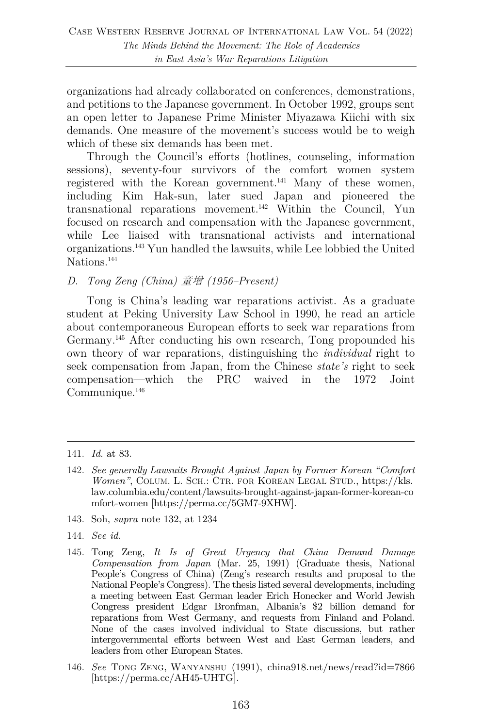organizations had already collaborated on conferences, demonstrations, and petitions to the Japanese government. In October 1992, groups sent an open letter to Japanese Prime Minister Miyazawa Kiichi with six demands. One measure of the movement's success would be to weigh which of these six demands has been met.

Through the Council's efforts (hotlines, counseling, information sessions), seventy-four survivors of the comfort women system registered with the Korean government.141 Many of these women, including Kim Hak-sun, later sued Japan and pioneered the transnational reparations movement.142 Within the Council, Yun focused on research and compensation with the Japanese government, while Lee liaised with transnational activists and international organizations.143 Yun handled the lawsuits, while Lee lobbied the United Nations.<sup>144</sup>

#### *D. Tong Zeng (China)* 童增 *(1956–Present)*

Tong is China's leading war reparations activist. As a graduate student at Peking University Law School in 1990, he read an article about contemporaneous European efforts to seek war reparations from Germany.145 After conducting his own research, Tong propounded his own theory of war reparations, distinguishing the *individual* right to seek compensation from Japan, from the Chinese *state's* right to seek compensation—which the PRC waived in the 1972 Joint Communique.<sup>146</sup>

- 143. Soh, *supra* note 132, at 1234
- 144. *See id.*
- 145. Tong Zeng, *It Is of Great Urgency that China Demand Damage Compensation from Japan* (Mar. 25, 1991) (Graduate thesis, National People's Congress of China) (Zeng's research results and proposal to the National People's Congress). The thesis listed several developments, including a meeting between East German leader Erich Honecker and World Jewish Congress president Edgar Bronfman, Albania's \$2 billion demand for reparations from West Germany, and requests from Finland and Poland. None of the cases involved individual to State discussions, but rather intergovernmental efforts between West and East German leaders, and leaders from other European States.
- 146. *See* TONG ZENG, WANYANSHU (1991), china918.net/news/read?id=7866 [https://perma.cc/AH45-UHTG].

<sup>141.</sup> *Id.* at 83.

<sup>142.</sup> *See generally Lawsuits Brought Against Japan by Former Korean "Comfort Women"*, COLUM. L. SCH.: CTR. FOR KOREAN LEGAL STUD., https://kls. law.columbia.edu/content/lawsuits-brought-against-japan-former-korean-co mfort-women [https://perma.cc/5GM7-9XHW].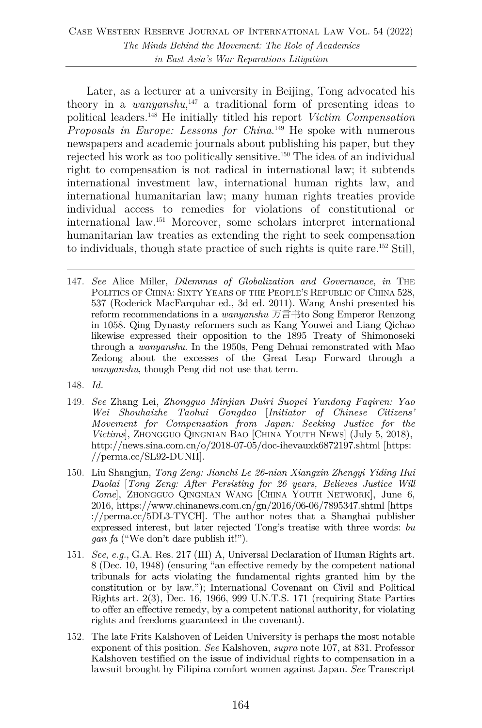Later, as a lecturer at a university in Beijing, Tong advocated his theory in a *wanyanshu*, <sup>147</sup> a traditional form of presenting ideas to political leaders.148 He initially titled his report *Victim Compensation Proposals in Europe: Lessons for China*. <sup>149</sup> He spoke with numerous newspapers and academic journals about publishing his paper, but they rejected his work as too politically sensitive.150 The idea of an individual right to compensation is not radical in international law; it subtends international investment law, international human rights law, and international humanitarian law; many human rights treaties provide individual access to remedies for violations of constitutional or international law.151 Moreover, some scholars interpret international humanitarian law treaties as extending the right to seek compensation to individuals, though state practice of such rights is quite rare.152 Still,

- 147. *See* Alice Miller, *Dilemmas of Globalization and Governance*, *in* THE POLITICS OF CHINA: SIXTY YEARS OF THE PEOPLE'S REPUBLIC OF CHINA 528, 537 (Roderick MacFarquhar ed., 3d ed. 2011). Wang Anshi presented his reform recommendations in a *wanyanshu* 万言书to Song Emperor Renzong in 1058. Qing Dynasty reformers such as Kang Youwei and Liang Qichao likewise expressed their opposition to the 1895 Treaty of Shimonoseki through a *wanyanshu*. In the 1950s, Peng Dehuai remonstrated with Mao Zedong about the excesses of the Great Leap Forward through a *wanyanshu*, though Peng did not use that term.
- 148. *Id.*
- 149. *See* Zhang Lei, *Zhongguo Minjian Duiri Suopei Yundong Faqiren: Yao Wei Shouhaizhe Taohui Gongdao* [*Initiator of Chinese Citizens' Movement for Compensation from Japan: Seeking Justice for the Victims*], ZHONGGUO QINGNIAN BAO [CHINA YOUTH NEWS] (July 5, 2018), http://news.sina.com.cn/o/2018-07-05/doc-ihevauxk6872197.shtml [https: //perma.cc/SL92-DUNH].
- 150. Liu Shangjun, *Tong Zeng: Jianchi Le 26-nian Xiangxin Zhengyi Yiding Hui Daolai* [*Tong Zeng: After Persisting for 26 years, Believes Justice Will Come*], ZHONGGUO QINGNIAN WANG [CHINA YOUTH NETWORK], June 6, 2016, https://www.chinanews.com.cn/gn/2016/06-06/7895347.shtml [https ://perma.cc/5DL3-TYCH]. The author notes that a Shanghai publisher expressed interest, but later rejected Tong's treatise with three words: *bu gan fa* ("We don't dare publish it!").
- 151. *See*, *e.g.*, G.A. Res. 217 (III) A, Universal Declaration of Human Rights art. 8 (Dec. 10, 1948) (ensuring "an effective remedy by the competent national tribunals for acts violating the fundamental rights granted him by the constitution or by law."); International Covenant on Civil and Political Rights art. 2(3), Dec. 16, 1966, 999 U.N.T.S. 171 (requiring State Parties to offer an effective remedy, by a competent national authority, for violating rights and freedoms guaranteed in the covenant).
- 152. The late Frits Kalshoven of Leiden University is perhaps the most notable exponent of this position. *See* Kalshoven, *supra* note 107, at 831. Professor Kalshoven testified on the issue of individual rights to compensation in a lawsuit brought by Filipina comfort women against Japan. *See* Transcript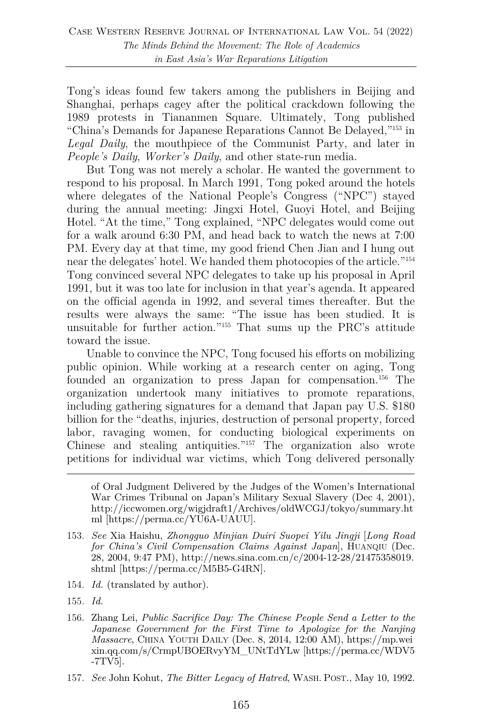Tong's ideas found few takers among the publishers in Beijing and Shanghai, perhaps cagey after the political crackdown following the 1989 protests in Tiananmen Square. Ultimately, Tong published "China's Demands for Japanese Reparations Cannot Be Delayed,"153 in *Legal Daily*, the mouthpiece of the Communist Party, and later in *People's Daily*, *Worker's Daily*, and other state-run media.

But Tong was not merely a scholar. He wanted the government to respond to his proposal. In March 1991, Tong poked around the hotels where delegates of the National People's Congress ("NPC") stayed during the annual meeting: Jingxi Hotel, Guoyi Hotel, and Beijing Hotel. "At the time," Tong explained, "NPC delegates would come out for a walk around 6:30 PM, and head back to watch the news at 7:00 PM. Every day at that time, my good friend Chen Jian and I hung out near the delegates' hotel. We handed them photocopies of the article."154 Tong convinced several NPC delegates to take up his proposal in April 1991, but it was too late for inclusion in that year's agenda. It appeared on the official agenda in 1992, and several times thereafter. But the results were always the same: "The issue has been studied. It is unsuitable for further action."155 That sums up the PRC's attitude toward the issue.

Unable to convince the NPC, Tong focused his efforts on mobilizing public opinion. While working at a research center on aging, Tong founded an organization to press Japan for compensation.<sup>156</sup> The organization undertook many initiatives to promote reparations, including gathering signatures for a demand that Japan pay U.S. \$180 billion for the "deaths, injuries, destruction of personal property, forced labor, ravaging women, for conducting biological experiments on Chinese and stealing antiquities."157 The organization also wrote petitions for individual war victims, which Tong delivered personally

154. *Id.* (translated by author).

- 156. Zhang Lei, *Public Sacrifice Day: The Chinese People Send a Letter to the Japanese Government for the First Time to Apologize for the Nanjing Massacre*, CHINA YOUTH DAILY (Dec. 8, 2014, 12:00 AM), https://mp.wei xin.qq.com/s/CrmpUBOERvyYM\_UNtTdYLw [https://perma.cc/WDV5 -7TV5].
- 157. *See* John Kohut, *The Bitter Legacy of Hatred*, WASH. POST., May 10, 1992.

of Oral Judgment Delivered by the Judges of the Women's International War Crimes Tribunal on Japan's Military Sexual Slavery (Dec 4, 2001), http://iccwomen.org/wigjdraft1/Archives/oldWCGJ/tokyo/summary.ht ml [https://perma.cc/YU6A-UAUU].

<sup>153.</sup> *See* Xia Haishu, *Zhongguo Minjian Duiri Suopei Yilu Jingji* [*Long Road for China's Civil Compensation Claims Against Japan*], HUANQIU (Dec. 28, 2004, 9:47 PM), http://news.sina.com.cn/c/2004-12-28/21475358019. shtml [https://perma.cc/M5B5-G4RN].

<sup>155.</sup> *Id.*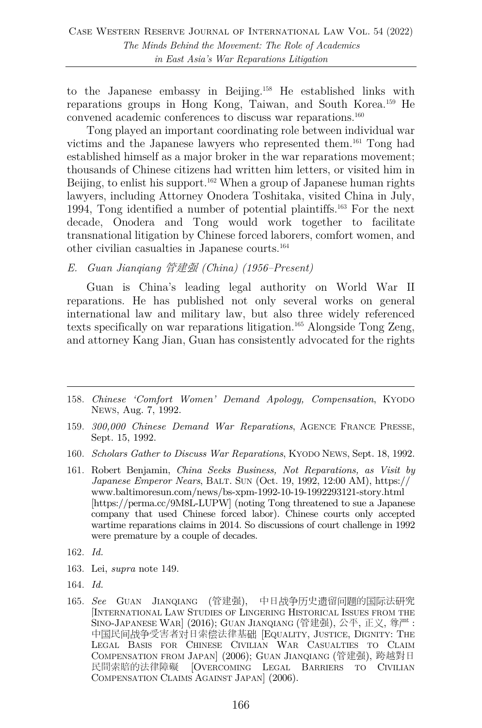to the Japanese embassy in Beijing. <sup>158</sup> He established links with reparations groups in Hong Kong, Taiwan, and South Korea.159 He convened academic conferences to discuss war reparations.160

Tong played an important coordinating role between individual war victims and the Japanese lawyers who represented them. <sup>161</sup> Tong had established himself as a major broker in the war reparations movement; thousands of Chinese citizens had written him letters, or visited him in Beijing, to enlist his support.<sup>162</sup> When a group of Japanese human rights lawyers, including Attorney Onodera Toshitaka, visited China in July, 1994, Tong identified a number of potential plaintiffs.163 For the next decade, Onodera and Tong would work together to facilitate transnational litigation by Chinese forced laborers, comfort women, and other civilian casualties in Japanese courts.164

*E. Guan Jianqiang* 管建强 *(China) (1956–Present)* 

Guan is China's leading legal authority on World War II reparations. He has published not only several works on general international law and military law, but also three widely referenced texts specifically on war reparations litigation.165 Alongside Tong Zeng, and attorney Kang Jian, Guan has consistently advocated for the rights

- 159. *300,000 Chinese Demand War Reparations*, AGENCE FRANCE PRESSE, Sept. 15, 1992.
- 160. *Scholars Gather to Discuss War Reparations*, KYODO NEWS, Sept. 18, 1992.
- 161. Robert Benjamin, *China Seeks Business, Not Reparations, as Visit by Japanese Emperor Nears*, BALT. SUN (Oct. 19, 1992, 12:00 AM), https:// www.baltimoresun.com/news/bs-xpm-1992-10-19-1992293121-story.html [https://perma.cc/9M8L-LUPW] (noting Tong threatened to sue a Japanese company that used Chinese forced labor). Chinese courts only accepted wartime reparations claims in 2014. So discussions of court challenge in 1992 were premature by a couple of decades.
- 162. *Id.*
- 163. Lei, *supra* note 149.
- 164. *Id.*
- 165. *See* GUAN JIANQIANG (管建强), 中日战争历史遗留问题的国际法研究 [INTERNATIONAL LAW STUDIES OF LINGERING HISTORICAL ISSUES FROM THE SINO-JAPANESE WAR] (2016); GUAN JIANQIANG (管建强), 公平, 正义, 尊严 : 中国民间战争受害者对日索偿法律基础 [EQUALITY, JUSTICE, DIGNITY: THE LEGAL BASIS FOR CHINESE CIVILIAN WAR CASUALTIES TO CLAIM COMPENSATION FROM JAPAN] (2006); GUAN JIANQIANG (管建强), 跨越對日 民間索賠的法律障礙 [OVERCOMING LEGAL BARRIERS TO CIVILIAN COMPENSATION CLAIMS AGAINST JAPAN] (2006).

<sup>158.</sup> *Chinese 'Comfort Women' Demand Apology, Compensation*, KYODO NEWS, Aug. 7, 1992.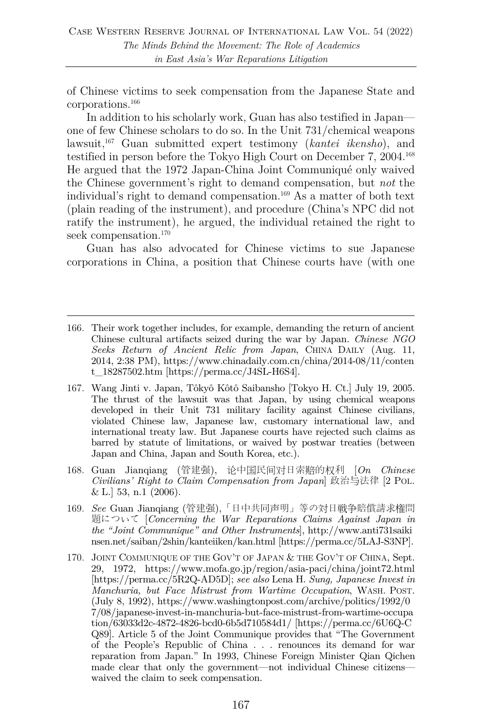of Chinese victims to seek compensation from the Japanese State and corporations.166

In addition to his scholarly work, Guan has also testified in Japan one of few Chinese scholars to do so. In the Unit 731/chemical weapons lawsuit,167 Guan submitted expert testimony (*kantei ikensho*), and testified in person before the Tokyo High Court on December 7, 2004.168 He argued that the 1972 Japan-China Joint Communiqué only waived the Chinese government's right to demand compensation, but *not* the individual's right to demand compensation.169 As a matter of both text (plain reading of the instrument), and procedure (China's NPC did not ratify the instrument), he argued, the individual retained the right to seek compensation.<sup>170</sup>

Guan has also advocated for Chinese victims to sue Japanese corporations in China, a position that Chinese courts have (with one

- 167. Wang Jinti v. Japan, Tôkyô Kôtô Saibansho [Tokyo H. Ct.] July 19, 2005. The thrust of the lawsuit was that Japan, by using chemical weapons developed in their Unit 731 military facility against Chinese civilians, violated Chinese law, Japanese law, customary international law, and international treaty law. But Japanese courts have rejected such claims as barred by statute of limitations, or waived by postwar treaties (between Japan and China, Japan and South Korea, etc.).
- 168. Guan Jianqiang (管建强), 论中国民间对日索赔的权利 [*On Chinese Civilians' Right to Claim Compensation from Japan*] 政治与法律 [2 POL. & L.] 53, n.1 (2006).
- 169. *See* Guan Jianqiang (管建强),「日中共同声明」等の対日戦争賠償請求権問 題について [*Concerning the War Reparations Claims Against Japan in the "Joint Communique" and Other Instruments*], http://www.anti731saiki nsen.net/saiban/2shin/kanteiiken/kan.html [https://perma.cc/5LAJ-S3NP].
- 170. JOINT COMMUNIQUE OF THE GOV'T OF JAPAN & THE GOV'T OF CHINA, Sept. 29, 1972, https://www.mofa.go.jp/region/asia-paci/china/joint72.html [https://perma.cc/5R2Q-AD5D]; *see also* Lena H. *Sung, Japanese Invest in Manchuria, but Face Mistrust from Wartime Occupation*, WASH. POST. (July 8, 1992), https://www.washingtonpost.com/archive/politics/1992/0 7/08/japanese-invest-in-manchuria-but-face-mistrust-from-wartime-occupa tion/63033d2c-4872-4826-bcd0-6b5d710584d1/ [https://perma.cc/6U6Q-C Q89]. Article 5 of the Joint Communique provides that "The Government of the People's Republic of China . . . renounces its demand for war reparation from Japan." In 1993, Chinese Foreign Minister Qian Qichen made clear that only the government—not individual Chinese citizens waived the claim to seek compensation.

<sup>166.</sup> Their work together includes, for example, demanding the return of ancient Chinese cultural artifacts seized during the war by Japan. *Chinese NGO Seeks Return of Ancient Relic from Japan*, CHINA DAILY (Aug. 11, 2014, 2:38 PM), https://www.chinadaily.com.cn/china/2014-08/11/conten t\_18287502.htm [https://perma.cc/J4SL-H6S4].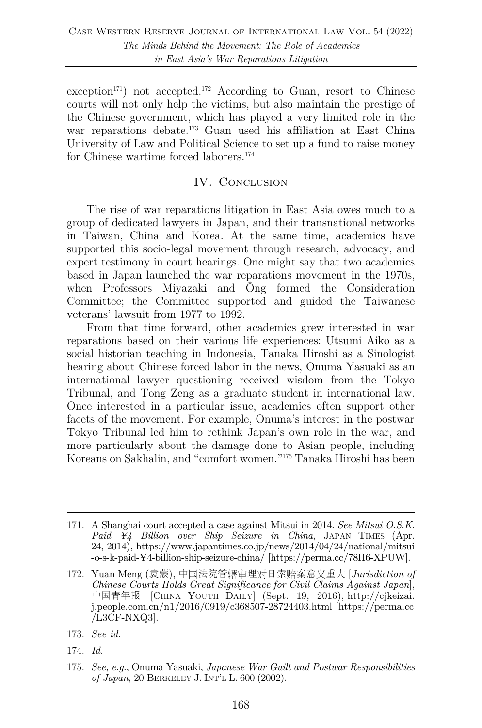exception<sup>171</sup>) not accepted.<sup>172</sup> According to Guan, resort to Chinese courts will not only help the victims, but also maintain the prestige of the Chinese government, which has played a very limited role in the war reparations debate.<sup>173</sup> Guan used his affiliation at East China University of Law and Political Science to set up a fund to raise money for Chinese wartime forced laborers.174

## IV. CONCLUSION

The rise of war reparations litigation in East Asia owes much to a group of dedicated lawyers in Japan, and their transnational networks in Taiwan, China and Korea. At the same time, academics have supported this socio-legal movement through research, advocacy, and expert testimony in court hearings. One might say that two academics based in Japan launched the war reparations movement in the 1970s, when Professors Miyazaki and Ông formed the Consideration Committee; the Committee supported and guided the Taiwanese veterans' lawsuit from 1977 to 1992.

From that time forward, other academics grew interested in war reparations based on their various life experiences: Utsumi Aiko as a social historian teaching in Indonesia, Tanaka Hiroshi as a Sinologist hearing about Chinese forced labor in the news, Onuma Yasuaki as an international lawyer questioning received wisdom from the Tokyo Tribunal, and Tong Zeng as a graduate student in international law. Once interested in a particular issue, academics often support other facets of the movement. For example, Onuma's interest in the postwar Tokyo Tribunal led him to rethink Japan's own role in the war, and more particularly about the damage done to Asian people, including Koreans on Sakhalin, and "comfort women."175 Tanaka Hiroshi has been

174. *Id.*

<sup>171.</sup> A Shanghai court accepted a case against Mitsui in 2014. *See Mitsui O.S.K. Paid ¥4 Billion over Ship Seizure in China*, JAPAN TIMES (Apr. 24, 2014), https://www.japantimes.co.jp/news/2014/04/24/national/mitsui -o-s-k-paid-¥4-billion-ship-seizure-china/ [https://perma.cc/78H6-XPUW].

<sup>172.</sup> Yuan Meng (袁蒙), 中国法院管辖审理对日索赔案意义重大 [*Jurisdiction of Chinese Courts Holds Great Significance for Civil Claims Against Japan*], 中国青年报 [CHINA YOUTH DAILY] (Sept. 19, 2016), http://cjkeizai. j.people.com.cn/n1/2016/0919/c368507-28724403.html [https://perma.cc /L3CF-NXQ3].

<sup>173.</sup> *See id.*

<sup>175.</sup> *See, e.g.*, Onuma Yasuaki, *Japanese War Guilt and Postwar Responsibilities of Japan*, 20 BERKELEY J. INT'L L. 600 (2002).